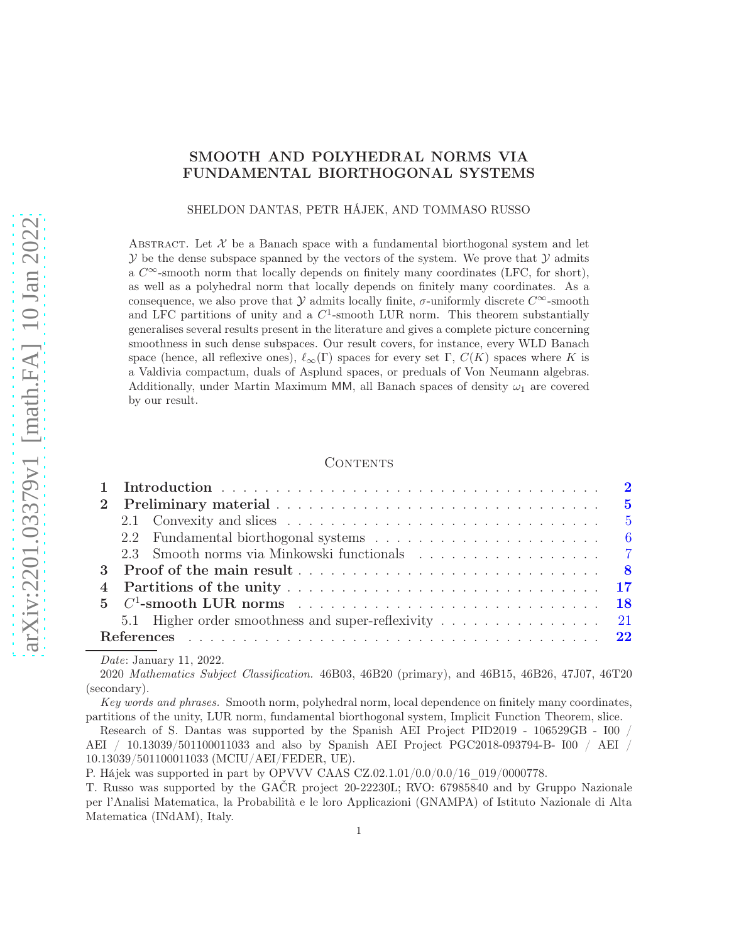# SMOOTH AND POLYHEDRAL NORMS VIA FUNDAMENTAL BIORTHOGONAL SYSTEMS

SHELDON DANTAS, PETR HÁJEK, AND TOMMASO RUSSO

ABSTRACT. Let  $\mathcal X$  be a Banach space with a fundamental biorthogonal system and let  $\mathcal Y$  be the dense subspace spanned by the vectors of the system. We prove that  $\mathcal Y$  admits a  $C^{\infty}$ -smooth norm that locally depends on finitely many coordinates (LFC, for short), as well as a polyhedral norm that locally depends on finitely many coordinates. As a consequence, we also prove that Y admits locally finite,  $\sigma$ -uniformly discrete  $C^{\infty}$ -smooth and LFC partitions of unity and a  $C^1$ -smooth LUR norm. This theorem substantially generalises several results present in the literature and gives a complete picture concerning smoothness in such dense subspaces. Our result covers, for instance, every WLD Banach space (hence, all reflexive ones),  $\ell_{\infty}(\Gamma)$  spaces for every set  $\Gamma$ ,  $C(K)$  spaces where K is a Valdivia compactum, duals of Asplund spaces, or preduals of Von Neumann algebras. Additionally, under Martin Maximum MM, all Banach spaces of density  $\omega_1$  are covered by our result.

#### CONTENTS

| $2^{\circ}$ |                         |  |  |
|-------------|-------------------------|--|--|
|             |                         |  |  |
|             |                         |  |  |
|             |                         |  |  |
|             |                         |  |  |
|             |                         |  |  |
|             |                         |  |  |
|             |                         |  |  |
|             |                         |  |  |
|             | Date: January 11, 2022. |  |  |

2020 Mathematics Subject Classification. 46B03, 46B20 (primary), and 46B15, 46B26, 47J07, 46T20 (secondary).

Key words and phrases. Smooth norm, polyhedral norm, local dependence on finitely many coordinates, partitions of the unity, LUR norm, fundamental biorthogonal system, Implicit Function Theorem, slice.

Research of S. Dantas was supported by the Spanish AEI Project PID2019 - 106529GB - I00 / AEI / 10.13039/501100011033 and also by Spanish AEI Project PGC2018-093794-B- I00 / AEI / 10.13039/501100011033 (MCIU/AEI/FEDER, UE).

P. Hájek was supported in part by OPVVV CAAS CZ.02.1.01/0.0/0.0/16  $019/0000778$ .

T. Russo was supported by the GAČR project 20-22230L; RVO: 67985840 and by Gruppo Nazionale per l'Analisi Matematica, la Probabilità e le loro Applicazioni (GNAMPA) of Istituto Nazionale di Alta Matematica (INdAM), Italy.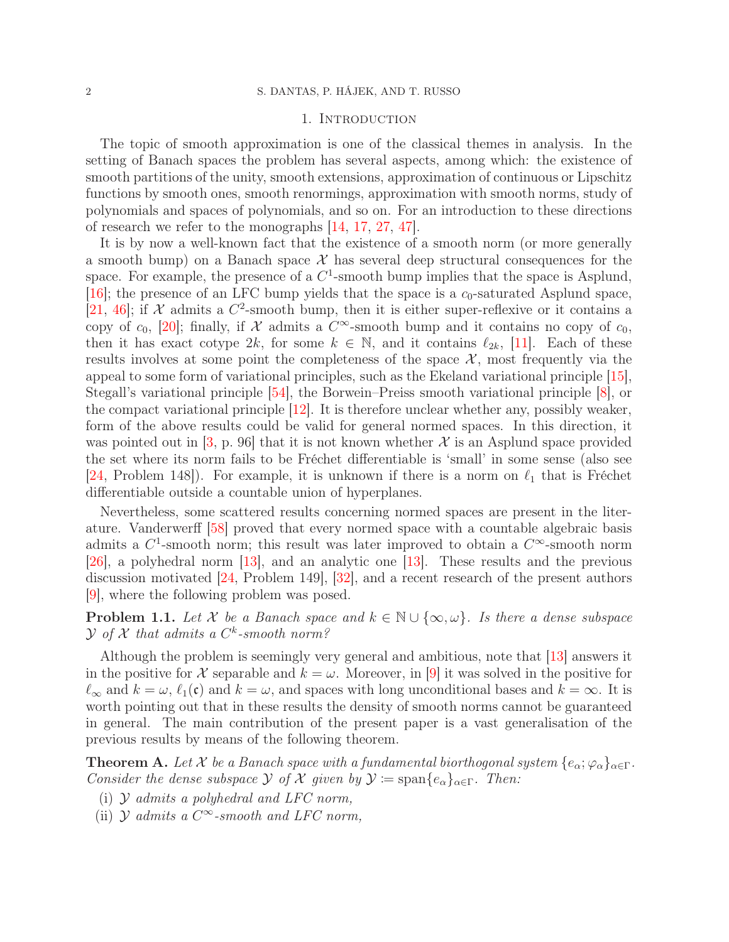#### 1. INTRODUCTION

<span id="page-1-0"></span>The topic of smooth approximation is one of the classical themes in analysis. In the setting of Banach spaces the problem has several aspects, among which: the existence of smooth partitions of the unity, smooth extensions, approximation of continuous or Lipschitz functions by smooth ones, smooth renormings, approximation with smooth norms, study of polynomials and spaces of polynomials, and so on. For an introduction to these directions of research we refer to the monographs [\[14,](#page-21-1) 17, [27,](#page-22-0) 47].

It is by now a well-known fact that the existence of a smooth norm (or more generally a smooth bump) on a Banach space  $\mathcal X$  has several deep structural consequences for the space. For example, the presence of a  $C<sup>1</sup>$ -smooth bump implies that the space is Asplund, [\[16\]](#page-21-2); the presence of an LFC bump yields that the space is a  $c_0$ -saturated Asplund space, [\[21,](#page-22-1) [46\]](#page-23-0); if  $\mathcal X$  admits a  $C^2$ -smooth bump, then it is either super-reflexive or it contains a copy of  $c_0$ , [\[20\]](#page-22-2); finally, if  $\mathcal X$  admits a  $C^{\infty}$ -smooth bump and it contains no copy of  $c_0$ , then it has exact cotype  $2k$ , for some  $k \in \mathbb{N}$ , and it contains  $\ell_{2k}$ , [11]. Each of these results involves at some point the completeness of the space  $\mathcal{X}$ , most frequently via the appeal to some form of variational principles, such as the Ekeland variational principle [\[15\]](#page-21-3), Stegall's variational principle [\[54\]](#page-23-1), the Borwein–Preiss smooth variational principle [\[8\]](#page-21-4), or the compact variational principle [\[12\]](#page-21-5). It is therefore unclear whether any, possibly weaker, form of the above results could be valid for general normed spaces. In this direction, it was pointed out in  $[3, p. 96]$  that it is not known whether X is an Asplund space provided the set where its norm fails to be Fréchet differentiable is 'small' in some sense (also see [\[24,](#page-22-3) Problem 148]). For example, it is unknown if there is a norm on  $\ell_1$  that is Fréchet differentiable outside a countable union of hyperplanes.

Nevertheless, some scattered results concerning normed spaces are present in the literature. Vanderwerff [\[58\]](#page-23-2) proved that every normed space with a countable algebraic basis admits a  $C^1$ -smooth norm; this result was later improved to obtain a  $C^{\infty}$ -smooth norm [26], a polyhedral norm [\[13\]](#page-21-7), and an analytic one [\[13\]](#page-21-7). These results and the previous discussion motivated [\[24,](#page-22-3) Problem 149], [32], and a recent research of the present authors [\[9\]](#page-21-8), where the following problem was posed.

**Problem 1.1.** Let X be a Banach space and  $k \in \mathbb{N} \cup \{\infty, \omega\}$ . Is there a dense subspace  $\mathcal Y$  of  $\mathcal X$  that admits a  $C^k$ -smooth norm?

Although the problem is seemingly very general and ambitious, note that [\[13\]](#page-21-7) answers it in the positive for X separable and  $k = \omega$ . Moreover, in [\[9\]](#page-21-8) it was solved in the positive for  $\ell_{\infty}$  and  $k = \omega$ ,  $\ell_1(\mathfrak{c})$  and  $k = \omega$ , and spaces with long unconditional bases and  $k = \infty$ . It is worth pointing out that in these results the density of smooth norms cannot be guaranteed in general. The main contribution of the present paper is a vast generalisation of the previous results by means of the following theorem.

<span id="page-1-3"></span>**Theorem A.** Let X be a Banach space with a fundamental biorthogonal system  $\{e_{\alpha}; \varphi_{\alpha}\}_{{\alpha \in \Gamma}}$ . Consider the dense subspace  $\mathcal Y$  of  $\mathcal X$  given by  $\mathcal Y := \text{span}\{e_\alpha\}_{\alpha \in \Gamma}$ . Then:

- <span id="page-1-2"></span><span id="page-1-1"></span>(i)  $\mathcal Y$  admits a polyhedral and LFC norm,
- (ii)  $\mathcal Y$  admits a  $C^{\infty}$ -smooth and LFC norm,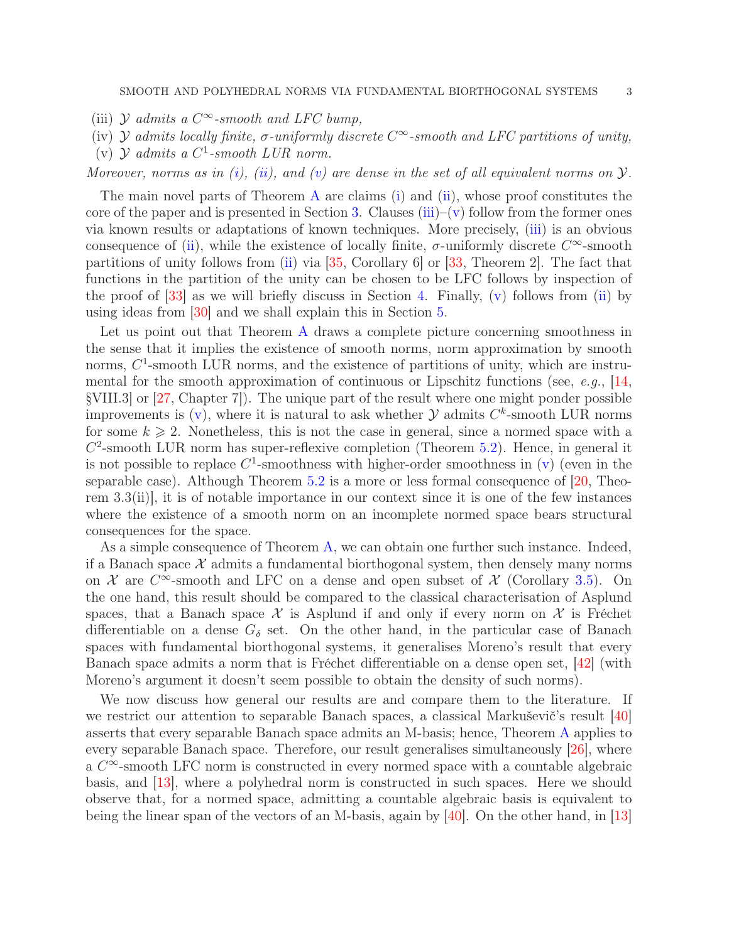<span id="page-2-2"></span><span id="page-2-1"></span>(iii)  $\mathcal Y$  admits a  $C^{\infty}$ -smooth and LFC bump,

- <span id="page-2-0"></span>(iv)  $\mathcal Y$  admits locally finite,  $\sigma$ -uniformly discrete  $C^{\infty}$ -smooth and LFC partitions of unity,
- (v)  $\mathcal{Y}$  admits a  $C^1$ -smooth LUR norm.

Moreover, norms as in [\(i\)](#page-1-1), [\(ii\)](#page-1-2), and [\(v\)](#page-2-0) are dense in the set of all equivalent norms on  $\mathcal{Y}$ .

The main novel parts of Theorem [A](#page-1-3) are claims  $(i)$  and  $(ii)$ , whose proof constitutes the core of the paper and is presented in Section [3.](#page-7-0) Clauses [\(iii\)](#page-2-1)–[\(v\)](#page-2-0) follow from the former ones via known results or adaptations of known techniques. More precisely, [\(iii\)](#page-2-1) is an obvious consequence of [\(ii\)](#page-1-2), while the existence of locally finite,  $\sigma$ -uniformly discrete  $C^{\infty}$ -smooth partitions of unity follows from [\(ii\)](#page-1-2) via [\[35,](#page-22-4) Corollary 6] or [\[33,](#page-22-5) Theorem 2]. The fact that functions in the partition of the unity can be chosen to be LFC follows by inspection of the proof of  $|33|$  as we will briefly discuss in Section [4.](#page-16-0) Finally, [\(v\)](#page-2-0) follows from [\(ii\)](#page-1-2) by using ideas from [\[30\]](#page-22-6) and we shall explain this in Section [5.](#page-17-0)

Let us point out that Theorem [A](#page-1-3) draws a complete picture concerning smoothness in the sense that it implies the existence of smooth norms, norm approximation by smooth norms,  $C^1$ -smooth LUR norms, and the existence of partitions of unity, which are instrumental for the smooth approximation of continuous or Lipschitz functions (see, e.g.,  $[14,$ §VIII.3] or [\[27,](#page-22-0) Chapter 7]). The unique part of the result where one might ponder possible improvements is  $(v)$ , where it is natural to ask whether  $\mathcal Y$  admits  $C^k$ -smooth LUR norms for some  $k \geq 2$ . Nonetheless, this is not the case in general, since a normed space with a  $C<sup>2</sup>$ -smooth LUR norm has super-reflexive completion (Theorem [5.2\)](#page-20-1). Hence, in general it is not possible to replace  $C^1$ -smoothness with higher-order smoothness in [\(v\)](#page-2-0) (even in the separable case). Although Theorem  $5.2$  is a more or less formal consequence of  $[20,$  Theorem 3.3(ii)], it is of notable importance in our context since it is one of the few instances where the existence of a smooth norm on an incomplete normed space bears structural consequences for the space.

As a simple consequence of Theorem [A,](#page-1-3) we can obtain one further such instance. Indeed, if a Banach space  $\mathcal X$  admits a fundamental biorthogonal system, then densely many norms on  $\mathcal X$  are  $C^{\infty}$ -smooth and LFC on a dense and open subset of  $\mathcal X$  (Corollary [3.5\)](#page-16-1). On the one hand, this result should be compared to the classical characterisation of Asplund spaces, that a Banach space  $\mathcal X$  is Asplund if and only if every norm on  $\mathcal X$  is Fréchet differentiable on a dense  $G_{\delta}$  set. On the other hand, in the particular case of Banach spaces with fundamental biorthogonal systems, it generalises Moreno's result that every Banach space admits a norm that is Fréchet differentiable on a dense open set, [42] (with Moreno's argument it doesn't seem possible to obtain the density of such norms).

We now discuss how general our results are and compare them to the literature. If we restrict our attention to separable Banach spaces, a classical Markuševič's result [\[40\]](#page-22-7) asserts that every separable Banach space admits an M-basis; hence, Theorem [A](#page-1-3) applies to every separable Banach space. Therefore, our result generalises simultaneously [26], where a  $C^{\infty}$ -smooth LFC norm is constructed in every normed space with a countable algebraic basis, and [\[13\]](#page-21-7), where a polyhedral norm is constructed in such spaces. Here we should observe that, for a normed space, admitting a countable algebraic basis is equivalent to being the linear span of the vectors of an M-basis, again by [\[40\]](#page-22-7). On the other hand, in [\[13\]](#page-21-7)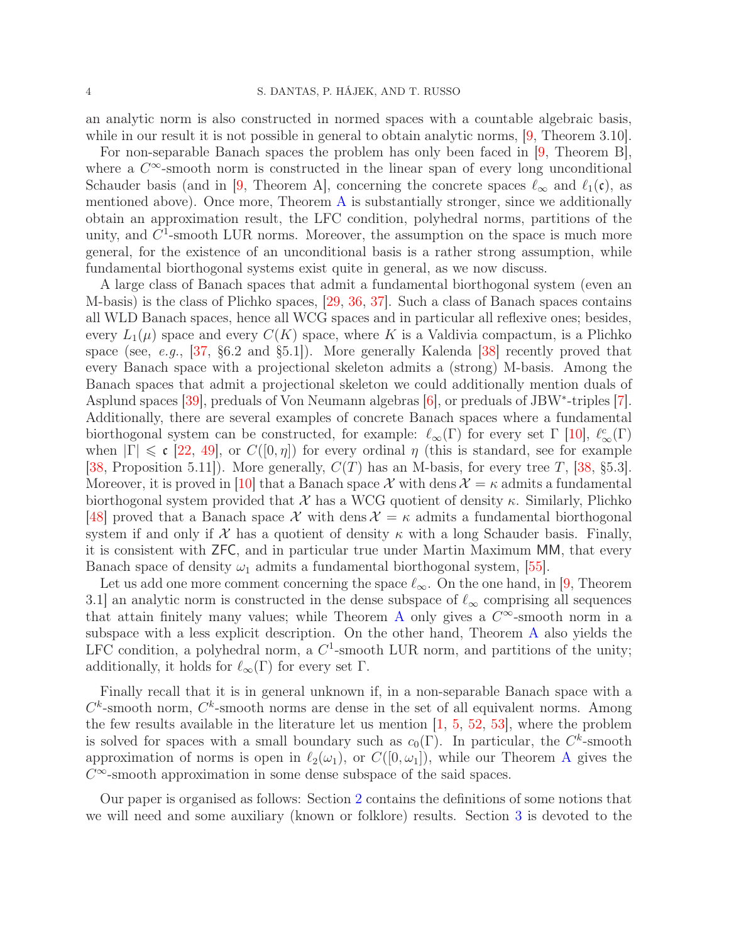an analytic norm is also constructed in normed spaces with a countable algebraic basis, while in our result it is not possible in general to obtain analytic norms,  $[9,$  Theorem 3.10.

For non-separable Banach spaces the problem has only been faced in [\[9,](#page-21-8) Theorem B], where a  $C^{\infty}$ -smooth norm is constructed in the linear span of every long unconditional Schauder basis (and in [\[9,](#page-21-8) Theorem A], concerning the concrete spaces  $\ell_{\infty}$  and  $\ell_1(\mathfrak{c})$ , as mentioned above). Once more, Theorem [A](#page-1-3) is substantially stronger, since we additionally obtain an approximation result, the LFC condition, polyhedral norms, partitions of the unity, and  $C<sup>1</sup>$ -smooth LUR norms. Moreover, the assumption on the space is much more general, for the existence of an unconditional basis is a rather strong assumption, while fundamental biorthogonal systems exist quite in general, as we now discuss.

A large class of Banach spaces that admit a fundamental biorthogonal system (even an M-basis) is the class of Plichko spaces, [\[29,](#page-22-8) [36,](#page-22-9) 37]. Such a class of Banach spaces contains all WLD Banach spaces, hence all WCG spaces and in particular all reflexive ones; besides, every  $L_1(\mu)$  space and every  $C(K)$  space, where K is a Valdivia compactum, is a Plichko space (see, e.g., [37, §6.2 and §5.1]). More generally Kalenda [38] recently proved that every Banach space with a projectional skeleton admits a (strong) M-basis. Among the Banach spaces that admit a projectional skeleton we could additionally mention duals of Asplund spaces [\[39\]](#page-22-10), preduals of Von Neumann algebras [\[6\]](#page-21-9), or preduals of JBW<sup>\*</sup>-triples [\[7\]](#page-21-10). Additionally, there are several examples of concrete Banach spaces where a fundamental biorthogonal system can be constructed, for example:  $\ell_{\infty}(\Gamma)$  for every set  $\Gamma$  [\[10\]](#page-21-11),  $\ell_{\infty}^c(\Gamma)$ when  $|\Gamma| \le c$  [\[22,](#page-22-11) 49], or  $C([0, \eta])$  for every ordinal  $\eta$  (this is standard, see for example [38, Proposition 5.11]). More generally,  $C(T)$  has an M-basis, for every tree T, [38, §5.3]. Moreover, it is proved in [\[10\]](#page-21-11) that a Banach space X with dens  $\mathcal{X} = \kappa$  admits a fundamental biorthogonal system provided that X has a WCG quotient of density  $\kappa$ . Similarly, Plichko [48] proved that a Banach space  $\mathcal X$  with dens  $\mathcal X = \kappa$  admits a fundamental biorthogonal system if and only if  $\mathcal X$  has a quotient of density  $\kappa$  with a long Schauder basis. Finally, it is consistent with ZFC, and in particular true under Martin Maximum MM, that every Banach space of density  $\omega_1$  admits a fundamental biorthogonal system, [55].

Let us add one more comment concerning the space  $\ell_{\infty}$ . On the one hand, in [\[9,](#page-21-8) Theorem 3.1] an analytic norm is constructed in the dense subspace of  $\ell_{\infty}$  comprising all sequences that attain finitely many values; while Theorem [A](#page-1-3) only gives a  $C^{\infty}$ -smooth norm in a subspace with a less explicit description. On the other hand, Theorem [A](#page-1-3) also yields the LFC condition, a polyhedral norm, a  $C^1$ -smooth LUR norm, and partitions of the unity; additionally, it holds for  $\ell_{\infty}(\Gamma)$  for every set  $\Gamma$ .

Finally recall that it is in general unknown if, in a non-separable Banach space with a  $C<sup>k</sup>$ -smooth norm,  $C<sup>k</sup>$ -smooth norms are dense in the set of all equivalent norms. Among the few results available in the literature let us mention [\[1,](#page-21-12) [5,](#page-21-13) [52,](#page-23-3) [53\]](#page-23-4), where the problem is solved for spaces with a small boundary such as  $c_0(\Gamma)$ . In particular, the C<sup>k</sup>-smooth approximation of norms is open in  $\ell_2(\omega_1)$ , or  $C([0,\omega_1])$ , while our Theorem [A](#page-1-3) gives the  $C^{\infty}$ -smooth approximation in some dense subspace of the said spaces.

Our paper is organised as follows: Section [2](#page-4-0) contains the definitions of some notions that we will need and some auxiliary (known or folklore) results. Section [3](#page-7-0) is devoted to the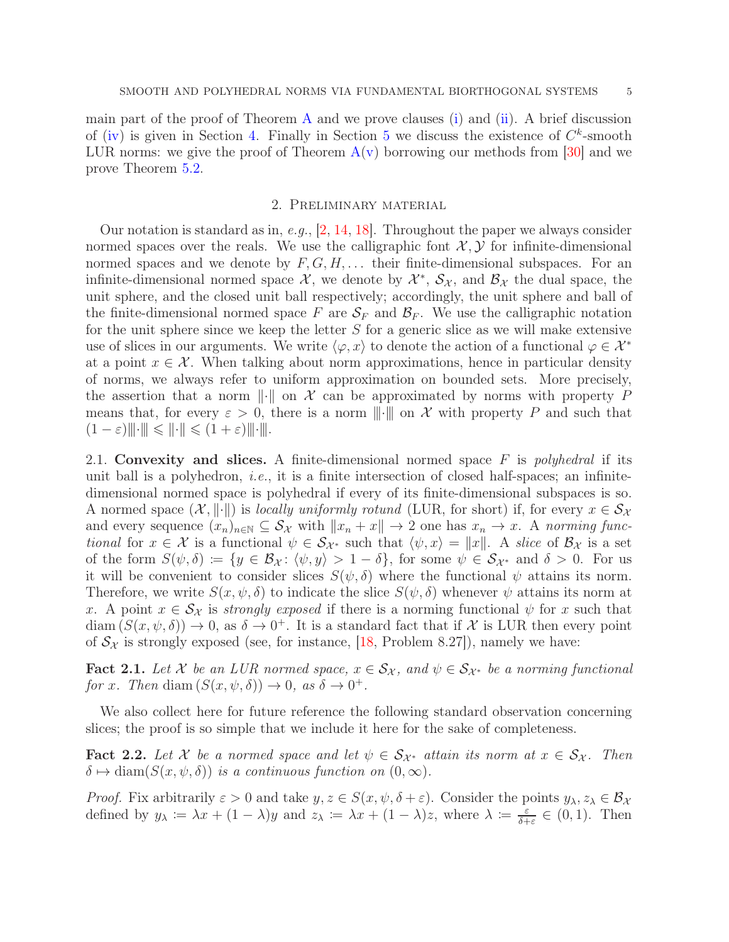main part of the proof of Theorem  $A$  and we prove clauses [\(i\)](#page-1-1) and [\(ii\)](#page-1-2). A brief discussion of [\(iv\)](#page-2-2) is given in Section [4.](#page-16-0) Finally in Section [5](#page-17-0) we discuss the existence of  $C^k$ -smooth LUR norms: we give the proof of Theorem  $A(v)$  $A(v)$  borrowing our methods from [\[30\]](#page-22-6) and we prove Theorem [5.2.](#page-20-1)

## 2. Preliminary material

<span id="page-4-0"></span>Our notation is standard as in, e.g.,  $[2, 14, 18]$  $[2, 14, 18]$  $[2, 14, 18]$  $[2, 14, 18]$ . Throughout the paper we always consider normed spaces over the reals. We use the calligraphic font  $\mathcal{X}, \mathcal{Y}$  for infinite-dimensional normed spaces and we denote by  $F, G, H, \ldots$  their finite-dimensional subspaces. For an infinite-dimensional normed space  $\mathcal{X}$ , we denote by  $\mathcal{X}^*, \mathcal{S}_{\mathcal{X}}$ , and  $\mathcal{B}_{\mathcal{X}}$  the dual space, the unit sphere, and the closed unit ball respectively; accordingly, the unit sphere and ball of the finite-dimensional normed space F are  $S_F$  and  $\mathcal{B}_F$ . We use the calligraphic notation for the unit sphere since we keep the letter  $S$  for a generic slice as we will make extensive use of slices in our arguments. We write  $\langle \varphi, x \rangle$  to denote the action of a functional  $\varphi \in \mathcal{X}^*$ at a point  $x \in \mathcal{X}$ . When talking about norm approximations, hence in particular density of norms, we always refer to uniform approximation on bounded sets. More precisely, the assertion that a norm  $\|\cdot\|$  on X can be approximated by norms with property P means that, for every  $\varepsilon > 0$ , there is a norm  $\|\cdot\|$  on X with property P and such that  $(1-\varepsilon)\|\cdot\|\leqslant \|\cdot\|\leqslant (1+\varepsilon)\|\cdot\|.$ 

<span id="page-4-1"></span>2.1. Convexity and slices. A finite-dimensional normed space  $F$  is *polyhedral* if its unit ball is a polyhedron, *i.e.*, it is a finite intersection of closed half-spaces; an infinitedimensional normed space is polyhedral if every of its finite-dimensional subspaces is so. A normed space  $(\mathcal{X}, \|\cdot\|)$  is locally uniformly rotund (LUR, for short) if, for every  $x \in \mathcal{S}_{\mathcal{X}}$ and every sequence  $(x_n)_{n\in\mathbb{N}}\subseteq \mathcal{S}_{\mathcal{X}}$  with  $||x_n + x|| \to 2$  one has  $x_n \to x$ . A norming functional for  $x \in \mathcal{X}$  is a functional  $\psi \in \mathcal{S}_{\mathcal{X}^*}$  such that  $\langle \psi, x \rangle = ||x||$ . A slice of  $\mathcal{B}_{\mathcal{X}}$  is a set of the form  $S(\psi, \delta) \coloneqq \{y \in \mathcal{B}_{\mathcal{X}} \colon \langle \psi, y \rangle > 1 - \delta\}$ , for some  $\psi \in \mathcal{S}_{\mathcal{X}^*}$  and  $\delta > 0$ . For us it will be convenient to consider slices  $S(\psi, \delta)$  where the functional  $\psi$  attains its norm. Therefore, we write  $S(x, \psi, \delta)$  to indicate the slice  $S(\psi, \delta)$  whenever  $\psi$  attains its norm at x. A point  $x \in S_{\mathcal{X}}$  is strongly exposed if there is a norming functional  $\psi$  for x such that  $\text{diam}(S(x,\psi,\delta)) \to 0$ , as  $\delta \to 0^+$ . It is a standard fact that if X is LUR then every point of  $S_\chi$  is strongly exposed (see, for instance, [\[18,](#page-22-12) Problem 8.27]), namely we have:

<span id="page-4-2"></span>**Fact 2.1.** Let X be an LUR normed space,  $x \in S_{\mathcal{X}}$ , and  $\psi \in S_{\mathcal{X}^*}$  be a norming functional for x. Then diam  $(S(x, \psi, \delta)) \to 0$ , as  $\delta \to 0^+$ .

We also collect here for future reference the following standard observation concerning slices; the proof is so simple that we include it here for the sake of completeness.

<span id="page-4-3"></span>**Fact 2.2.** Let X be a normed space and let  $\psi \in S_{\mathcal{X}^*}$  attain its norm at  $x \in S_{\mathcal{X}}$ . Then  $\delta \mapsto \text{diam}(S(x, \psi, \delta))$  is a continuous function on  $(0, \infty)$ .

*Proof.* Fix arbitrarily  $\varepsilon > 0$  and take  $y, z \in S(x, \psi, \delta + \varepsilon)$ . Consider the points  $y_{\lambda}, z_{\lambda} \in B_{\lambda}$ defined by  $y_{\lambda} := \lambda x + (1 - \lambda)y$  and  $z_{\lambda} := \lambda x + (1 - \lambda)z$ , where  $\lambda := \frac{\varepsilon}{\delta + \lambda}$  $\frac{\varepsilon}{\delta + \varepsilon} \in (0, 1)$ . Then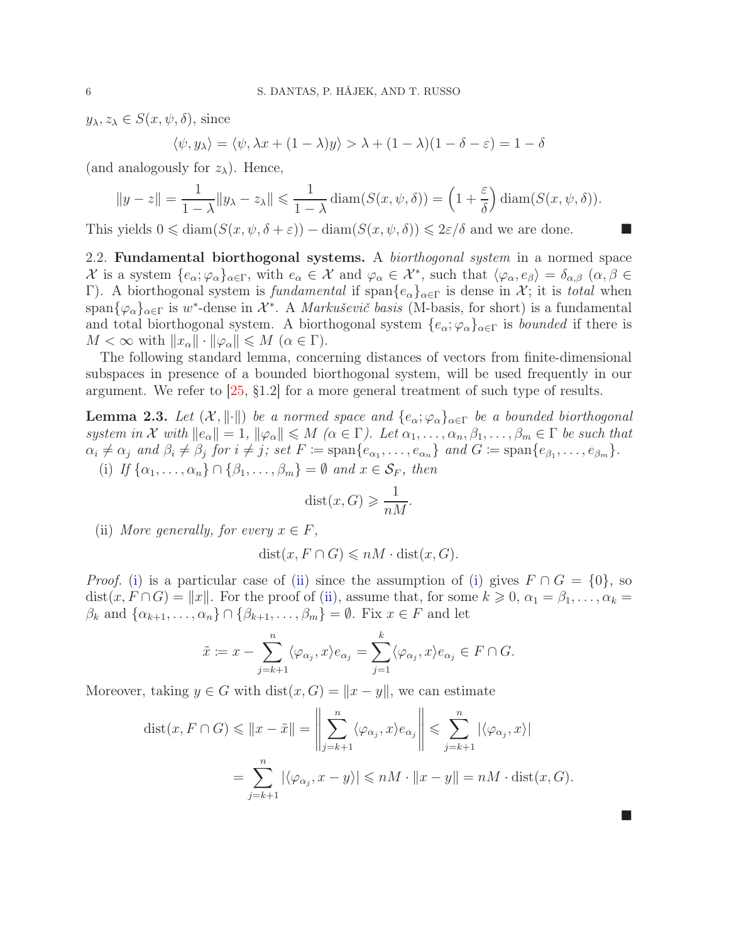$y_{\lambda}, z_{\lambda} \in S(x, \psi, \delta)$ , since

$$
\langle \psi, y_\lambda \rangle = \langle \psi, \lambda x + (1 - \lambda)y \rangle > \lambda + (1 - \lambda)(1 - \delta - \varepsilon) = 1 - \delta
$$

(and analogously for  $z_\lambda$ ). Hence,

$$
||y - z|| = \frac{1}{1 - \lambda} ||y_{\lambda} - z_{\lambda}|| \leq \frac{1}{1 - \lambda} \operatorname{diam}(S(x, \psi, \delta)) = \left(1 + \frac{\varepsilon}{\delta}\right) \operatorname{diam}(S(x, \psi, \delta)).
$$

<span id="page-5-0"></span>This yields  $0 \leq \text{diam}(S(x, \psi, \delta + \varepsilon)) - \text{diam}(S(x, \psi, \delta)) \leq 2\varepsilon/\delta$  and we are done.

2.2. Fundamental biorthogonal systems. A *biorthogonal system* in a normed space  $\mathcal{X}$  is a system  $\{e_{\alpha}, \varphi_{\alpha}\}_{{\alpha \in \Gamma}}$ , with  $e_{\alpha} \in \mathcal{X}$  and  $\varphi_{\alpha} \in \mathcal{X}^*$ , such that  $\langle \varphi_{\alpha}, e_{\beta} \rangle = \delta_{\alpha,\beta}$   $(\alpha, \beta \in \Gamma)$ Γ). A biorthogonal system is fundamental if span $\{e_{\alpha}\}_{{\alpha}\in\Gamma}$  is dense in X; it is total when  $\text{span}\{\varphi_{\alpha}\}_{{\alpha}\in \Gamma}$  is  $w^*$ -dense in  $\mathcal{X}^*$ . A *Markuševič basis* (M-basis, for short) is a fundamental and total biorthogonal system. A biorthogonal system  $\{e_{\alpha}; \varphi_{\alpha}\}_{{\alpha}\in \Gamma}$  is *bounded* if there is  $M < \infty$  with  $||x_{\alpha}|| \cdot ||\varphi_{\alpha}|| \leq M \ (\alpha \in \Gamma).$ 

The following standard lemma, concerning distances of vectors from finite-dimensional subspaces in presence of a bounded biorthogonal system, will be used frequently in our argument. We refer to [\[25,](#page-22-13) §1.2] for a more general treatment of such type of results.

<span id="page-5-3"></span><span id="page-5-1"></span>**Lemma 2.3.** Let  $(X, \|\cdot\|)$  be a normed space and  $\{e_{\alpha}; \varphi_{\alpha}\}_{{\alpha \in \Gamma}}$  be a bounded biorthogonal system in X with  $||e_\alpha|| = 1$ ,  $||\varphi_\alpha|| \leq M$   $(\alpha \in \Gamma)$ . Let  $\alpha_1, \ldots, \alpha_n, \beta_1, \ldots, \beta_m \in \Gamma$  be such that  $\alpha_i \neq \alpha_j$  and  $\beta_i \neq \beta_j$  for  $i \neq j$ ; set  $F \coloneqq \text{span}\{e_{\alpha_1}, \ldots, e_{\alpha_n}\}\$  and  $G \coloneqq \text{span}\{e_{\beta_1}, \ldots, e_{\beta_m}\}.$ (i) If  $\{\alpha_1, \ldots, \alpha_n\} \cap \{\beta_1, \ldots, \beta_m\} = \emptyset$  and  $x \in S_F$ , then

$$
dist(x, G) \geqslant \frac{1}{nM}.
$$

<span id="page-5-2"></span>(ii) More generally, for every  $x \in F$ ,

$$
dist(x, F \cap G) \leqslant nM \cdot dist(x, G).
$$

*Proof.* [\(i\)](#page-5-1) is a particular case of [\(ii\)](#page-5-2) since the assumption of [\(i\)](#page-5-1) gives  $F \cap G = \{0\}$ , so  $dist(x, F \cap G) = ||x||$ . For the proof of [\(ii\)](#page-5-2), assume that, for some  $k \geq 0$ ,  $\alpha_1 = \beta_1, \ldots, \alpha_k =$  $\beta_k$  and  $\{\alpha_{k+1},\ldots,\alpha_n\}\cap\{\beta_{k+1},\ldots,\beta_m\}=\emptyset$ . Fix  $x\in F$  and let

$$
\tilde{x} := x - \sum_{j=k+1}^n \langle \varphi_{\alpha_j}, x \rangle e_{\alpha_j} = \sum_{j=1}^k \langle \varphi_{\alpha_j}, x \rangle e_{\alpha_j} \in F \cap G.
$$

Moreover, taking  $y \in G$  with  $dist(x, G) = ||x - y||$ , we can estimate

$$
dist(x, F \cap G) \leq ||x - \tilde{x}|| = \left\| \sum_{j=k+1}^{n} \langle \varphi_{\alpha_j}, x \rangle e_{\alpha_j} \right\| \leq \sum_{j=k+1}^{n} |\langle \varphi_{\alpha_j}, x \rangle|
$$
  
= 
$$
\sum_{j=k+1}^{n} |\langle \varphi_{\alpha_j}, x - y \rangle| \leq nM \cdot ||x - y|| = nM \cdot dist(x, G).
$$

ш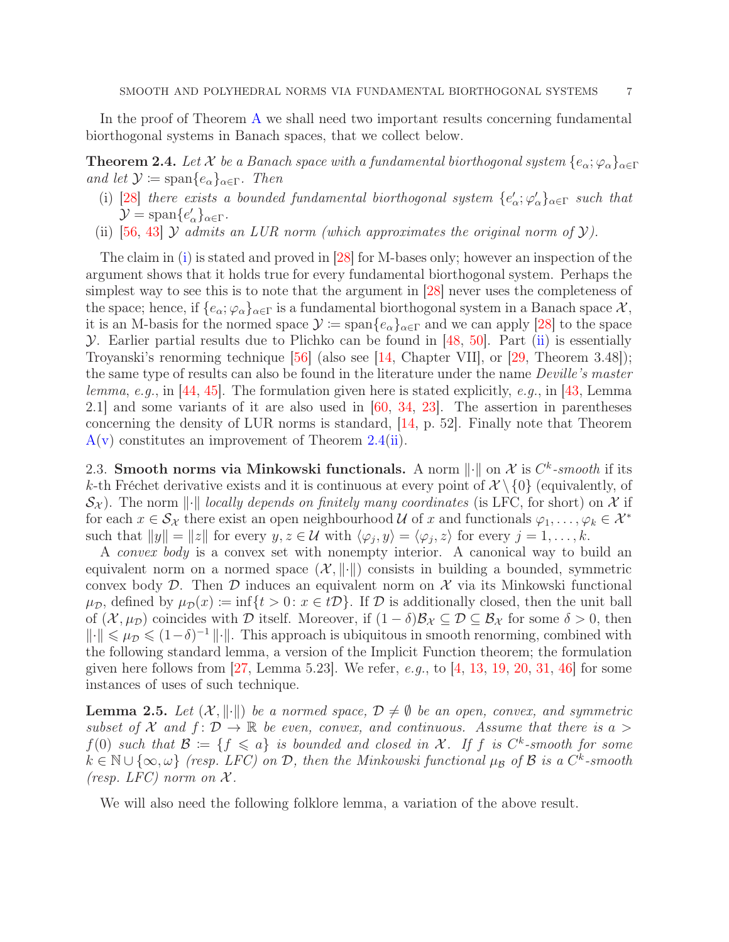In the proof of Theorem [A](#page-1-3) we shall need two important results concerning fundamental biorthogonal systems in Banach spaces, that we collect below.

<span id="page-6-3"></span><span id="page-6-1"></span>**Theorem 2.4.** Let X be a Banach space with a fundamental biorthogonal system  $\{e_{\alpha}; \varphi_{\alpha}\}_{{\alpha \in \Gamma}}$ and let  $\mathcal{Y} \coloneqq \text{span}\{e_{\alpha}\}_{{\alpha \in \Gamma}}$ . Then

- (i) [\[28\]](#page-22-14) there exists a bounded fundamental biorthogonal system  $\{e'_\alpha; \varphi'_\alpha\}_{\alpha \in \Gamma}$  such that  $\mathcal{Y} = \text{span}\{e'_\alpha\}_{\alpha \in \Gamma}.$
- <span id="page-6-2"></span>(ii) [56, 43]  $\mathcal Y$  admits an LUR norm (which approximates the original norm of  $\mathcal Y$ ).

The claim in [\(i\)](#page-6-1) is stated and proved in [\[28\]](#page-22-14) for M-bases only; however an inspection of the argument shows that it holds true for every fundamental biorthogonal system. Perhaps the simplest way to see this is to note that the argument in [\[28\]](#page-22-14) never uses the completeness of the space; hence, if  $\{e_{\alpha}; \varphi_{\alpha}\}_{{\alpha} \in \Gamma}$  is a fundamental biorthogonal system in a Banach space  $\mathcal{X},$ it is an M-basis for the normed space  $\mathcal{Y} := \text{span}\{e_{\alpha}\}_{{\alpha} \in \Gamma}$  and we can apply [\[28\]](#page-22-14) to the space  $Y.$  Earlier partial results due to Plichko can be found in [48, 50]. Part [\(ii\)](#page-6-2) is essentially Troyanski's renorming technique [56] (also see [\[14,](#page-21-1) Chapter VII], or [\[29,](#page-22-8) Theorem 3.48]); the same type of results can also be found in the literature under the name Deville's master lemma, e.g., in [\[44,](#page-23-5) [45\]](#page-23-6). The formulation given here is stated explicitly, e.g., in [43, Lemma 2.1] and some variants of it are also used in [\[60,](#page-23-7) [34,](#page-22-15) [23\]](#page-22-16). The assertion in parentheses concerning the density of LUR norms is standard, [\[14,](#page-21-1) p. 52]. Finally note that Theorem  $A(v)$  $A(v)$  constitutes an improvement of Theorem [2.4\(](#page-6-3)[ii\)](#page-6-2).

<span id="page-6-0"></span>2.3. Smooth norms via Minkowski functionals. A norm  $\lVert \cdot \rVert$  on X is  $C^k$ -smooth if its k-th Fréchet derivative exists and it is continuous at every point of  $\mathcal{X}\setminus\{0\}$  (equivalently, of  $\mathcal{S}_\chi$ ). The norm  $\lVert \cdot \rVert$  locally depends on finitely many coordinates (is LFC, for short) on X if for each  $x \in \mathcal{S}_{\chi}$  there exist an open neighbourhood U of x and functionals  $\varphi_1, \ldots, \varphi_k \in \mathcal{X}^*$ such that  $||y|| = ||z||$  for every  $y, z \in \mathcal{U}$  with  $\langle \varphi_j, y \rangle = \langle \varphi_j, z \rangle$  for every  $j = 1, ..., k$ .

A convex body is a convex set with nonempty interior. A canonical way to build an equivalent norm on a normed space  $(\mathcal{X}, \|\cdot\|)$  consists in building a bounded, symmetric convex body  $\mathcal{D}$ . Then  $\mathcal{D}$  induces an equivalent norm on  $\mathcal{X}$  via its Minkowski functional  $\mu_{\mathcal{D}}$ , defined by  $\mu_{\mathcal{D}}(x) := \inf\{t > 0: x \in t\mathcal{D}\}\.$  If  $\mathcal D$  is additionally closed, then the unit ball of  $(\mathcal{X}, \mu_{\mathcal{D}})$  coincides with  $\mathcal D$  itself. Moreover, if  $(1 - \delta)\mathcal{B}_{\mathcal{X}} \subseteq \mathcal{D} \subseteq \mathcal{B}_{\mathcal{X}}$  for some  $\delta > 0$ , then  $\|\cdot\| \le \mu_{\mathcal{D}} \le (1-\delta)^{-1} \|\cdot\|.$  This approach is ubiquitous in smooth renorming, combined with the following standard lemma, a version of the Implicit Function theorem; the formulation given here follows from [\[27,](#page-22-0) Lemma 5.23]. We refer,  $e,q$ , to [4, [13,](#page-21-7) 19, [20,](#page-22-2) 31, [46\]](#page-23-0) for some instances of uses of such technique.

<span id="page-6-4"></span>**Lemma 2.5.** Let  $(X, \|\cdot\|)$  be a normed space,  $D \neq \emptyset$  be an open, convex, and symmetric subset of X and  $f: \mathcal{D} \to \mathbb{R}$  be even, convex, and continuous. Assume that there is a >  $f(0)$  such that  $\mathcal{B} := \{f \leq a\}$  is bounded and closed in X. If f is  $C^k$ -smooth for some  $k \in \mathbb{N} \cup \{\infty, \omega\}$  (resp. LFC) on  $\mathcal{D}$ , then the Minkowski functional  $\mu_{\mathcal{B}}$  of  $\mathcal{B}$  is a  $C^k$ -smooth (resp. LFC) norm on  $\mathcal{X}$ .

We will also need the following folklore lemma, a variation of the above result.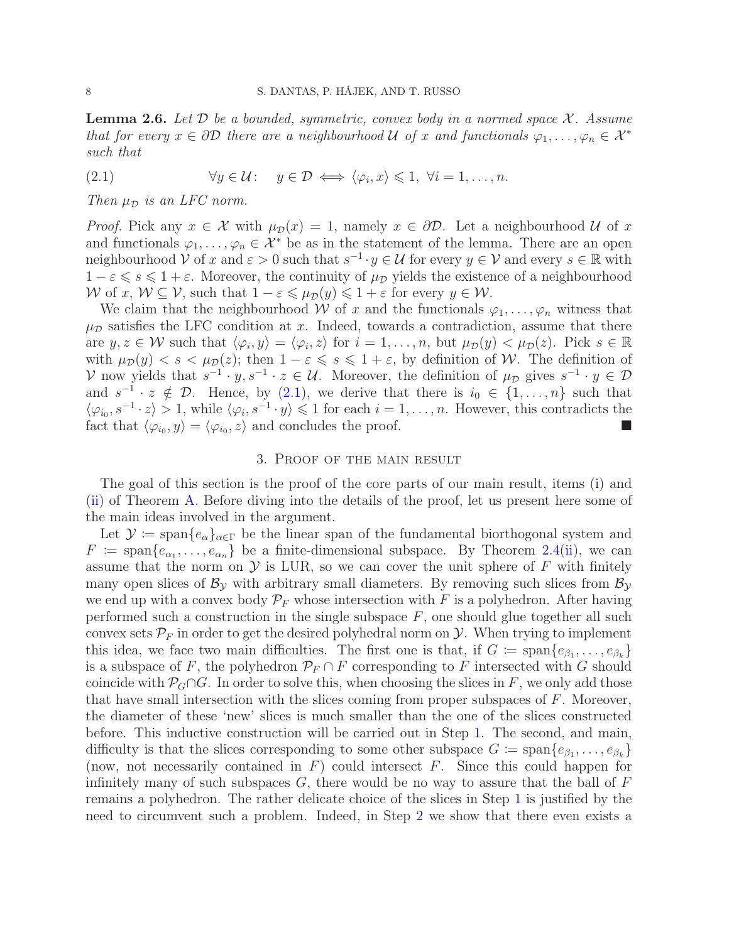<span id="page-7-2"></span>**Lemma 2.6.** Let  $D$  be a bounded, symmetric, convex body in a normed space  $X$ . Assume that for every  $x \in \partial \mathcal{D}$  there are a neighbourhood U of x and functionals  $\varphi_1, \ldots, \varphi_n \in \mathcal{X}^*$ such that

<span id="page-7-1"></span>(2.1) 
$$
\forall y \in \mathcal{U}: y \in \mathcal{D} \iff \langle \varphi_i, x \rangle \leq 1, \ \forall i = 1, \dots, n.
$$

Then  $\mu_{\mathcal{D}}$  is an LFC norm.

*Proof.* Pick any  $x \in \mathcal{X}$  with  $\mu_{\mathcal{D}}(x) = 1$ , namely  $x \in \partial \mathcal{D}$ . Let a neighbourhood  $\mathcal{U}$  of x and functionals  $\varphi_1, \ldots, \varphi_n \in \mathcal{X}^*$  be as in the statement of the lemma. There are an open neighbourhood  $V$  of x and  $\varepsilon > 0$  such that  $s^{-1} \cdot y \in \mathcal{U}$  for every  $y \in V$  and every  $s \in \mathbb{R}$  with  $1 - \varepsilon \leqslant s \leqslant 1 + \varepsilon$ . Moreover, the continuity of  $\mu_{\mathcal{D}}$  yields the existence of a neighbourhood W of x,  $W \subseteq V$ , such that  $1 - \varepsilon \leq \mu_D(y) \leq 1 + \varepsilon$  for every  $y \in W$ .

We claim that the neighbourhood W of x and the functionals  $\varphi_1, \ldots, \varphi_n$  witness that  $\mu_{\mathcal{D}}$  satisfies the LFC condition at x. Indeed, towards a contradiction, assume that there are  $y, z \in \mathcal{W}$  such that  $\langle \varphi_i, y \rangle = \langle \varphi_i, z \rangle$  for  $i = 1, \ldots, n$ , but  $\mu_{\mathcal{D}}(y) < \mu_{\mathcal{D}}(z)$ . Pick  $s \in \mathbb{R}$ with  $\mu_{\mathcal{D}}(y) < s < \mu_{\mathcal{D}}(z)$ ; then  $1 - \varepsilon \leq s \leq 1 + \varepsilon$ , by definition of W. The definition of V now yields that  $s^{-1} \cdot y, s^{-1} \cdot z \in \mathcal{U}$ . Moreover, the definition of  $\mu_{\mathcal{D}}$  gives  $s^{-1} \cdot y \in \mathcal{D}$ and  $s^{-1} \cdot z \notin \mathcal{D}$ . Hence, by [\(2.1\)](#page-7-1), we derive that there is  $i_0 \in \{1, ..., n\}$  such that  $\langle \varphi_{i_0}, s^{-1} \cdot z \rangle > 1$ , while  $\langle \varphi_i, s^{-1} \cdot y \rangle \leq 1$  for each  $i = 1, \ldots, n$ . However, this contradicts the fact that  $\langle \varphi_{i_0}, y \rangle = \langle \varphi_{i_0}, z \rangle$  and concludes the proof.

#### 3. Proof of the main result

<span id="page-7-0"></span>The goal of this section is the proof of the core parts of our main result, items [\(i\)](#page-1-1) and [\(ii\)](#page-1-2) of Theorem [A.](#page-1-3) Before diving into the details of the proof, let us present here some of the main ideas involved in the argument.

Let  $\mathcal{Y} := \text{span}\{e_{\alpha}\}_{{\alpha} \in \Gamma}$  be the linear span of the fundamental biorthogonal system and  $F := \text{span}\{e_{\alpha_1}, \ldots, e_{\alpha_n}\}\$ be a finite-dimensional subspace. By Theorem [2.4](#page-6-3)[\(ii\)](#page-6-2), we can assume that the norm on  $\mathcal Y$  is LUR, so we can cover the unit sphere of  $F$  with finitely many open slices of  $\mathcal{B}_y$  with arbitrary small diameters. By removing such slices from  $\mathcal{B}_y$ we end up with a convex body  $\mathcal{P}_F$  whose intersection with F is a polyhedron. After having performed such a construction in the single subspace  $F$ , one should glue together all such convex sets  $\mathcal{P}_F$  in order to get the desired polyhedral norm on  $\mathcal{Y}$ . When trying to implement this idea, we face two main difficulties. The first one is that, if  $G := \text{span}\{e_{\beta_1}, \ldots, e_{\beta_k}\}\$ is a subspace of F, the polyhedron  $\mathcal{P}_F \cap F$  corresponding to F intersected with G should coincide with  $\mathcal{P}_G \cap G$ . In order to solve this, when choosing the slices in F, we only add those that have small intersection with the slices coming from proper subspaces of  $F$ . Moreover, the diameter of these 'new' slices is much smaller than the one of the slices constructed before. This inductive construction will be carried out in Step [1.](#page-8-0) The second, and main, difficulty is that the slices corresponding to some other subspace  $G := \text{span}\{e_{\beta_1}, \ldots, e_{\beta_k}\}\$ (now, not necessarily contained in  $F$ ) could intersect  $F$ . Since this could happen for infinitely many of such subspaces  $G$ , there would be no way to assure that the ball of  $F$ remains a polyhedron. The rather delicate choice of the slices in Step [1](#page-8-0) is justified by the need to circumvent such a problem. Indeed, in Step [2](#page-9-0) we show that there even exists a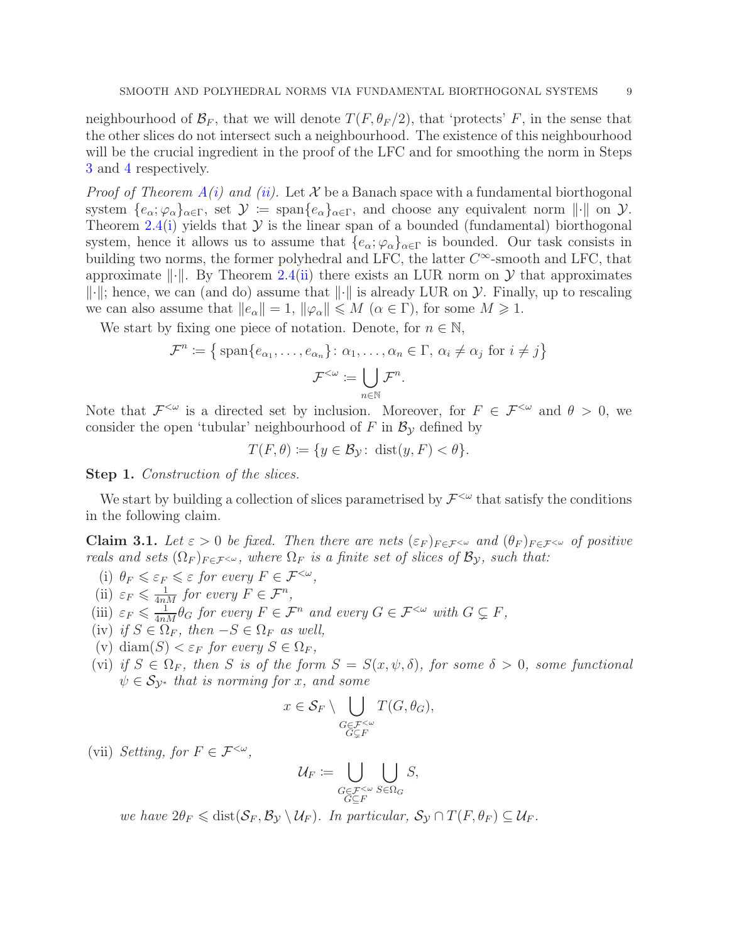neighbourhood of  $\mathcal{B}_F$ , that we will denote  $T(F, \theta_F/2)$ , that 'protects' F, in the sense that the other slices do not intersect such a neighbourhood. The existence of this neighbourhood will be the crucial ingredient in the proof of the LFC and for smoothing the norm in Steps [3](#page-12-0) and [4](#page-13-0) respectively.

*Proof of Theorem [A](#page-1-3)[\(i\)](#page-1-1) and [\(ii\)](#page-1-2).* Let X be a Banach space with a fundamental biorthogonal system  $\{e_{\alpha}; \varphi_{\alpha}\}_{{\alpha}\in \Gamma}$ , set  $\mathcal{Y} := \text{span}\{e_{\alpha}\}_{{\alpha}\in \Gamma}$ , and choose any equivalent norm  $\|\cdot\|$  on  $\mathcal{Y}$ . Theorem [2.4\(](#page-6-3)[i\)](#page-6-1) yields that  $\mathcal Y$  is the linear span of a bounded (fundamental) biorthogonal system, hence it allows us to assume that  $\{e_{\alpha}; \varphi_{\alpha}\}_{{\alpha}\in \Gamma}$  is bounded. Our task consists in building two norms, the former polyhedral and LFC, the latter  $C^{\infty}$ -smooth and LFC, that approximate  $\lVert \cdot \rVert$ . By Theorem [2.4\(](#page-6-3)[ii\)](#page-6-2) there exists an LUR norm on Y that approximates  $\|\cdot\|$ ; hence, we can (and do) assume that  $\|\cdot\|$  is already LUR on  $\mathcal Y$ . Finally, up to rescaling we can also assume that  $||e_\alpha|| = 1$ ,  $||\varphi_\alpha|| \leq M$   $(\alpha \in \Gamma)$ , for some  $M \geq 1$ .

We start by fixing one piece of notation. Denote, for  $n \in \mathbb{N}$ ,

$$
\mathcal{F}^n := \left\{ \text{span}\{e_{\alpha_1}, \dots, e_{\alpha_n}\} \colon \alpha_1, \dots, \alpha_n \in \Gamma, \ \alpha_i \neq \alpha_j \text{ for } i \neq j \right\}
$$

$$
\mathcal{F}^{<\omega} := \bigcup_{n \in \mathbb{N}} \mathcal{F}^n.
$$

Note that  $\mathcal{F}^{\leq \omega}$  is a directed set by inclusion. Moreover, for  $F \in \mathcal{F}^{\leq \omega}$  and  $\theta > 0$ , we consider the open 'tubular' neighbourhood of F in  $\mathcal{B}_{\mathcal{Y}}$  defined by

$$
T(F,\theta) := \{ y \in \mathcal{B}_{\mathcal{Y}} \colon \operatorname{dist}(y,F) < \theta \}.
$$

<span id="page-8-0"></span>Step 1. Construction of the slices.

We start by building a collection of slices parametrised by  $\mathcal{F}^{<\omega}$  that satisfy the conditions in the following claim.

<span id="page-8-1"></span>**Claim 3.1.** Let  $\varepsilon > 0$  be fixed. Then there are nets  $(\varepsilon_F)_{F \in \mathcal{F}} \sim$  and  $(\theta_F)_{F \in \mathcal{F}} \sim$  of positive reals and sets  $(\Omega_F)_{F \in \mathcal{F}^{< \omega}}$ , where  $\Omega_F$  is a finite set of slices of  $\mathcal{B}_y$ , such that:

- <span id="page-8-5"></span><span id="page-8-3"></span>(i)  $\theta_F \leqslant \varepsilon_F \leqslant \varepsilon$  for every  $F \in \mathcal{F}^{<\omega}$ , (ii)  $\varepsilon_F \leq \frac{1}{4nM}$  for every  $F \in \mathcal{F}^n$ ,
- <span id="page-8-6"></span><span id="page-8-4"></span>(iii)  $\varepsilon_F \leq \frac{1}{4nM} \theta_G$  for every  $F \in \mathcal{F}^n$  and every  $G \in \mathcal{F}^{<\omega}$  with  $G \subsetneq F$ ,
- <span id="page-8-7"></span>(iv) if  $S \in \Omega_F$ , then  $-S \in \Omega_F$  as well,
- <span id="page-8-8"></span>(v) diam(S)  $\epsilon_F$  for every  $S \in \Omega_F$ ,
- (vi) if  $S \in \Omega_F$ , then S is of the form  $S = S(x, \psi, \delta)$ , for some  $\delta > 0$ , some functional  $\psi \in \mathcal{S}_{\mathcal{V}^*}$  that is norming for x, and some

$$
x \in \mathcal{S}_F \setminus \bigcup_{\substack{G \in \mathcal{F}^{<\omega} \\ G \subsetneq F}} T(G, \theta_G),
$$

<span id="page-8-2"></span>(vii) Setting, for  $F \in \mathcal{F}^{<\omega}$ ,

$$
\mathcal{U}_F \coloneqq \bigcup_{\substack{G \in \mathcal{F}^{<\omega} \\ G \subseteq F}} \bigcup_{S \in \Omega_G} S,
$$

we have  $2\theta_F \leq \text{dist}(\mathcal{S}_F, \mathcal{B}_\mathcal{Y} \setminus \mathcal{U}_F)$ . In particular,  $\mathcal{S}_\mathcal{Y} \cap T(F, \theta_F) \subseteq \mathcal{U}_F$ .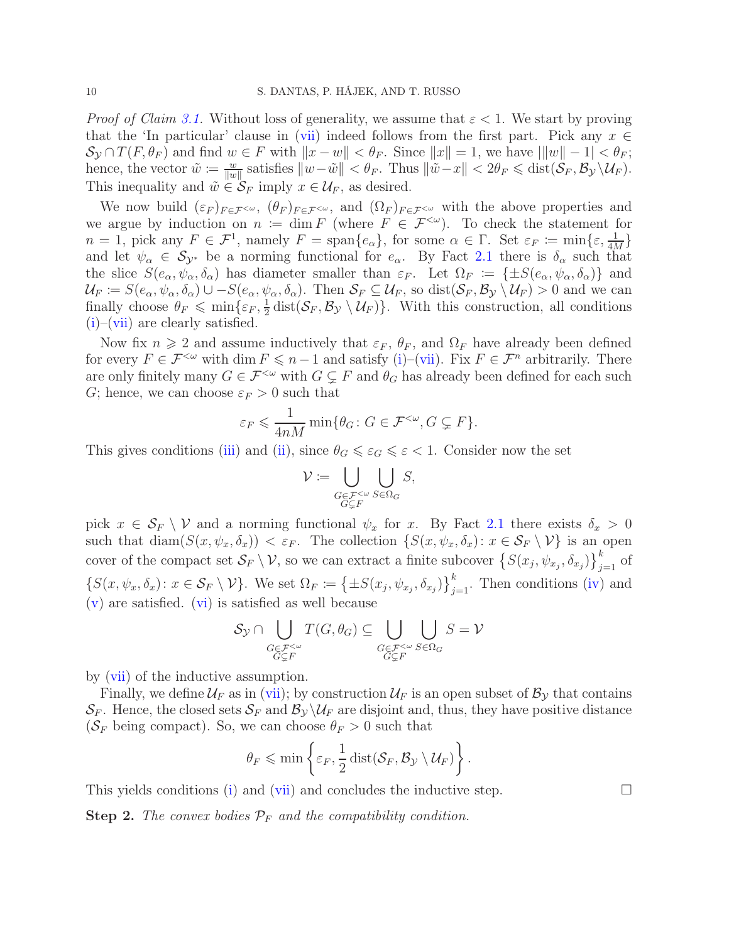*Proof of Claim [3.1.](#page-8-1)* Without loss of generality, we assume that  $\varepsilon < 1$ . We start by proving that the 'In particular' clause in [\(vii\)](#page-8-2) indeed follows from the first part. Pick any  $x \in$  $\mathcal{S}_{\mathcal{Y}} \cap T(F, \theta_F)$  and find  $w \in F$  with  $||x - w|| < \theta_F$ . Since  $||x|| = 1$ , we have  $|||w|| - 1| < \theta_F$ ; hence, the vector  $\tilde{w} := \frac{w}{\|w\|}$  $\frac{w}{\|w\|}$  satisfies  $\|w-\tilde{w}\| < \theta_F$ . Thus  $\|\tilde{w}-x\| < 2\theta_F \leq \text{dist}(\mathcal{S}_F, \mathcal{B}_{\mathcal{Y}} \setminus \mathcal{U}_F)$ . This inequality and  $\tilde{w} \in \mathcal{S}_F$  imply  $x \in \mathcal{U}_F$ , as desired.

We now build  $(\varepsilon_F)_{F\in\mathcal{F}^{<\omega}},$   $(\theta_F)_{F\in\mathcal{F}^{<\omega}},$  and  $(\Omega_F)_{F\in\mathcal{F}^{<\omega}}$  with the above properties and we argue by induction on  $n := \dim F$  (where  $F \in \mathcal{F}^{<\omega}$ ). To check the statement for  $n = 1$ , pick any  $F \in \mathcal{F}^1$ , namely  $F = \text{span}\{e_\alpha\}$ , for some  $\alpha \in \Gamma$ . Set  $\varepsilon_F := \min\{\varepsilon, \frac{1}{4M}\}$ and let  $\psi_{\alpha} \in S_{\mathcal{Y}^*}$  be a norming functional for  $e_{\alpha}$ . By Fact [2.1](#page-4-2) there is  $\delta_{\alpha}$  such that the slice  $S(e_\alpha, \psi_\alpha, \delta_\alpha)$  has diameter smaller than  $\varepsilon_F$ . Let  $\Omega_F := {\pm S(e_\alpha, \psi_\alpha, \delta_\alpha)}$  and  $\mathcal{U}_F \coloneqq S(e_\alpha, \psi_\alpha, \delta_\alpha) \cup -S(e_\alpha, \psi_\alpha, \delta_\alpha)$ . Then  $\mathcal{S}_F \subseteq \mathcal{U}_F$ , so  $dist(\mathcal{S}_F, \mathcal{B}_\mathcal{Y} \setminus \mathcal{U}_F) > 0$  and we can finally choose  $\theta_F \leqslant \min\{\varepsilon_F, \frac{1}{2}\}$  $\frac{1}{2}$  dist $(\mathcal{S}_F, \mathcal{B}_\mathcal{Y} \setminus \mathcal{U}_F)$ . With this construction, all conditions  $(i)$ –[\(vii\)](#page-8-2) are clearly satisfied.

Now fix  $n \geq 2$  and assume inductively that  $\varepsilon_F$ ,  $\theta_F$ , and  $\Omega_F$  have already been defined for every  $F \in \mathcal{F}^{\leq \omega}$  with dim  $F \leq n-1$  and satisfy [\(i\)](#page-8-3)–[\(vii\)](#page-8-2). Fix  $F \in \mathcal{F}^n$  arbitrarily. There are only finitely many  $G \in \mathcal{F}^{\leq \omega}$  with  $G \subsetneq F$  and  $\theta_G$  has already been defined for each such G; hence, we can choose  $\varepsilon_F > 0$  such that

$$
\varepsilon_F \leqslant \frac{1}{4nM} \min \{ \theta_G \colon G \in \mathcal{F}^{<\omega}, G \subsetneq F \}.
$$

This gives conditions [\(iii\)](#page-8-4) and [\(ii\)](#page-8-5), since  $\theta_G \leq \varepsilon_G \leq \varepsilon < 1$ . Consider now the set

$$
\mathcal{V} \coloneqq \bigcup_{\substack{G \in \mathcal{F}^{&\omega} \\ G \subsetneq F}} \bigcup_{S \in \Omega_G} S,
$$

pick  $x \in \mathcal{S}_F \setminus \mathcal{V}$  and a norming functional  $\psi_x$  for x. By Fact [2.1](#page-4-2) there exists  $\delta_x > 0$ such that  $\text{diam}(S(x, \psi_x, \delta_x)) < \varepsilon_F$ . The collection  $\{S(x, \psi_x, \delta_x): x \in \mathcal{S}_F \setminus \mathcal{V}\}\)$  is an open cover of the compact set  $\mathcal{S}_F \setminus \mathcal{V}$ , so we can extract a finite subcover  $\left\{S(x_j, \psi_{x_j}, \delta_{x_j})\right\}_{j=1}^k$  of  $\{S(x,\psi_x,\delta_x): x \in \mathcal{S}_F \setminus \mathcal{V}\}\.$  We set  $\Omega_F := \left\{\pm S(x_j,\psi_{x_j},\delta_{x_j})\right\}_{j=1}^k$ . Then conditions [\(iv\)](#page-8-6) and  $(v)$  are satisfied.  $(vi)$  is satisfied as well because

$$
\mathcal{S}_{\mathcal{Y}} \cap \bigcup_{\substack{G \in \mathcal{F}^{<\omega} \\ G \subsetneq F}} T(G, \theta_G) \subseteq \bigcup_{\substack{G \in \mathcal{F}^{<\omega} \\ G \subsetneq F}} \bigcup_{S \in \Omega_G} S = \mathcal{V}
$$

by [\(vii\)](#page-8-2) of the inductive assumption.

Finally, we define  $\mathcal{U}_F$  as in [\(vii\)](#page-8-2); by construction  $\mathcal{U}_F$  is an open subset of  $\mathcal{B}_y$  that contains  $\mathcal{S}_F$ . Hence, the closed sets  $\mathcal{S}_F$  and  $\mathcal{B}_y \backslash \mathcal{U}_F$  are disjoint and, thus, they have positive distance ( $\mathcal{S}_F$  being compact). So, we can choose  $\theta_F > 0$  such that

$$
\theta_F \leqslant \min \left\{ \varepsilon_F, \frac{1}{2} \operatorname{dist}(\mathcal{S}_F, \mathcal{B}_{\mathcal{Y}} \setminus \mathcal{U}_F) \right\}.
$$

This yields conditions [\(i\)](#page-8-3) and [\(vii\)](#page-8-2) and concludes the inductive step.  $\Box$ 

<span id="page-9-0"></span>**Step 2.** The convex bodies  $\mathcal{P}_F$  and the compatibility condition.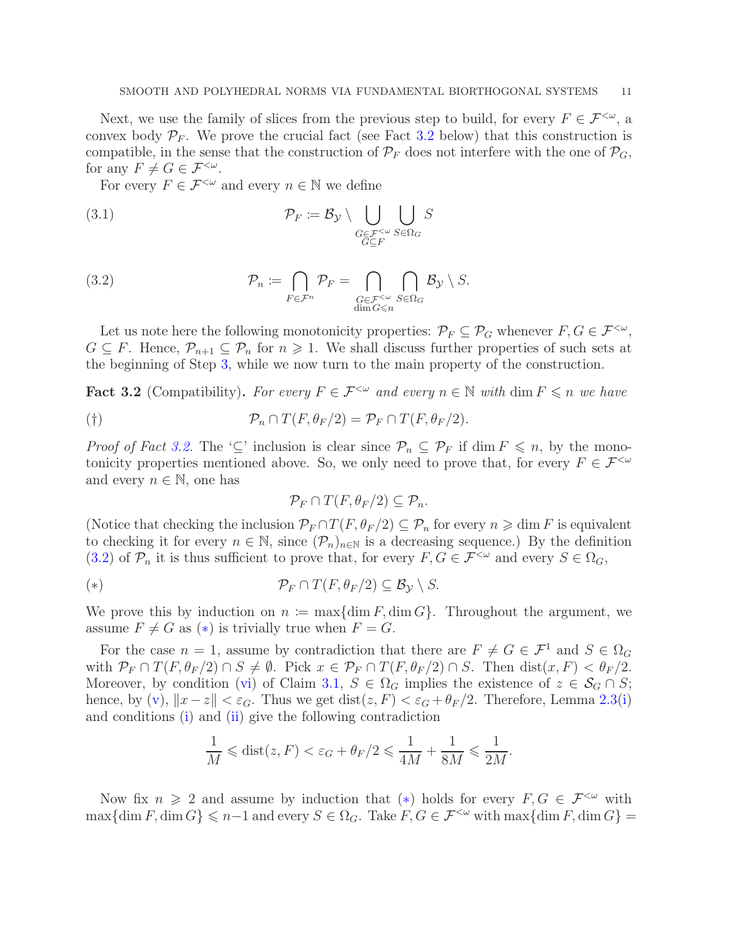Next, we use the family of slices from the previous step to build, for every  $F \in \mathcal{F}^{<\omega}$ , a convex body  $P_F$ . We prove the crucial fact (see Fact [3.2](#page-10-0) below) that this construction is compatible, in the sense that the construction of  $\mathcal{P}_F$  does not interfere with the one of  $\mathcal{P}_G$ , for any  $F \neq G \in \mathcal{F}^{<\omega}$ .

<span id="page-10-4"></span>For every  $F \in \mathcal{F}^{\leq \omega}$  and every  $n \in \mathbb{N}$  we define

(3.1) 
$$
\mathcal{P}_F := \mathcal{B}_{\mathcal{Y}} \setminus \bigcup_{\substack{G \in \mathcal{F}^{\leq \omega} \\ G \subseteq F}} \bigcup_{S \in \Omega_G} S
$$

<span id="page-10-1"></span>(3.2) 
$$
\mathcal{P}_n := \bigcap_{F \in \mathcal{F}^n} \mathcal{P}_F = \bigcap_{\substack{G \in \mathcal{F}^{&\omega} \\ \dim G \leq n}} \bigcap_{S \in \Omega_G} \mathcal{B}_{\mathcal{Y}} \setminus S.
$$

Let us note here the following monotonicity properties:  $\mathcal{P}_F \subseteq \mathcal{P}_G$  whenever  $F, G \in \mathcal{F}^{<\omega}$ ,  $G \subseteq F$ . Hence,  $\mathcal{P}_{n+1} \subseteq \mathcal{P}_n$  for  $n \geq 1$ . We shall discuss further properties of such sets at the beginning of Step [3,](#page-12-0) while we now turn to the main property of the construction.

<span id="page-10-0"></span>**Fact 3.2** (Compatibility). For every  $F \in \mathcal{F}^{\leq \omega}$  and every  $n \in \mathbb{N}$  with dim  $F \leq n$  we have

<span id="page-10-3"></span>
$$
P_n \cap T(F, \theta_F/2) = P_F \cap T(F, \theta_F/2).
$$

*Proof of Fact [3.2.](#page-10-0)* The '⊆' inclusion is clear since  $\mathcal{P}_n \subseteq \mathcal{P}_F$  if dim  $F \leq n$ , by the monotonicity properties mentioned above. So, we only need to prove that, for every  $F \in \mathcal{F}^{&\omega}$ and every  $n \in \mathbb{N}$ , one has

$$
\mathcal{P}_F \cap T(F, \theta_F/2) \subseteq \mathcal{P}_n.
$$

(Notice that checking the inclusion  $\mathcal{P}_F \cap T(F, \theta_F/2) \subseteq \mathcal{P}_n$  for every  $n \geq \dim F$  is equivalent to checking it for every  $n \in \mathbb{N}$ , since  $(\mathcal{P}_n)_{n \in \mathbb{N}}$  is a decreasing sequence.) By the definition [\(3.2\)](#page-10-1) of  $\mathcal{P}_n$  it is thus sufficient to prove that, for every  $F, G \in \mathcal{F}^{<\omega}$  and every  $S \in \Omega_G$ ,

<span id="page-10-2"></span>(\*) 
$$
\mathcal{P}_F \cap T(F,\theta_F/2) \subseteq \mathcal{B}_{\mathcal{Y}} \setminus S.
$$

We prove this by induction on  $n := \max\{\dim F, \dim G\}$ . Throughout the argument, we assume  $F \neq G$  as  $(*)$  is trivially true when  $F = G$ .

For the case  $n = 1$ , assume by contradiction that there are  $F \neq G \in \mathcal{F}^1$  and  $S \in \Omega_G$ with  $\mathcal{P}_F \cap T(F, \theta_F/2) \cap S \neq \emptyset$ . Pick  $x \in \mathcal{P}_F \cap T(F, \theta_F/2) \cap S$ . Then  $dist(x, F) < \theta_F/2$ . Moreover, by condition [\(vi\)](#page-8-8) of Claim [3.1,](#page-8-1)  $S \in \Omega_G$  implies the existence of  $z \in \mathcal{S}_G \cap S$ ; hence, by [\(v\)](#page-8-7),  $||x-z|| < \varepsilon_G$ . Thus we get dist( $z, F$ )  $\lt \varepsilon_G + \theta_F/2$ . Therefore, Lemma [2.3\(](#page-5-3)[i\)](#page-5-1) and conditions [\(i\)](#page-8-3) and [\(ii\)](#page-8-5) give the following contradiction

$$
\frac{1}{M} \leqslant \text{dist}(z, F) < \varepsilon_G + \theta_F/2 \leqslant \frac{1}{4M} + \frac{1}{8M} \leqslant \frac{1}{2M}.
$$

Now fix  $n \geq 2$  and assume by induction that (\*) holds for every  $F, G \in \mathcal{F}^{\leq \omega}$  with  $\max{\{\dim F, \dim G\}} \leq n-1$  and every  $S \in \Omega_G$ . Take  $F, G \in \mathcal{F}^{<\omega}$  with  $\max{\{\dim F, \dim G\}} =$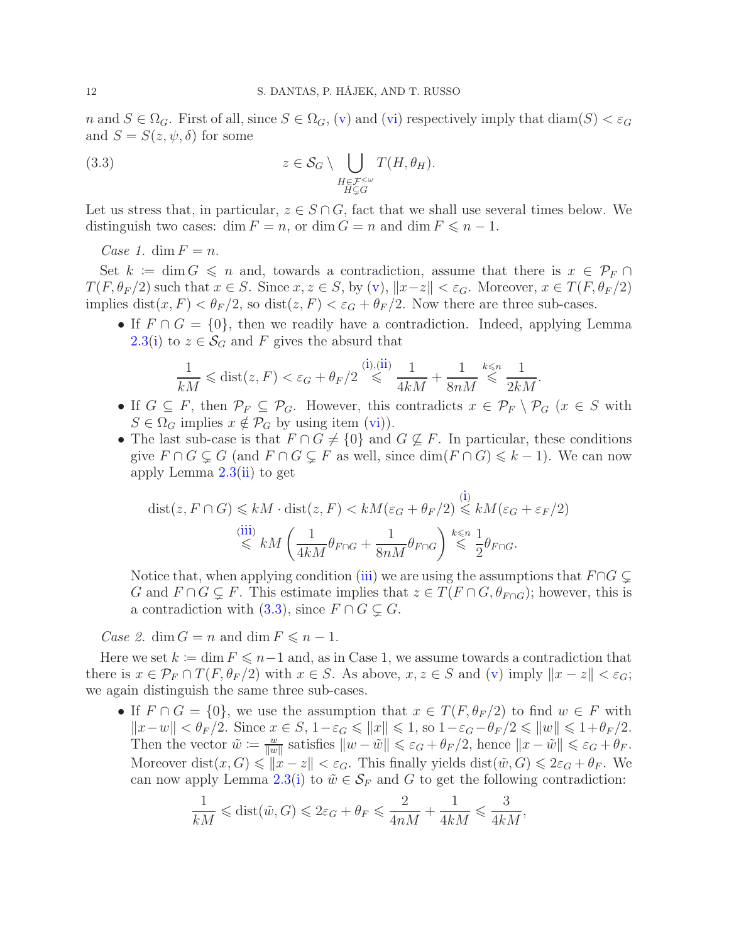n and  $S \in \Omega_G$ . First of all, since  $S \in \Omega_G$ , [\(v\)](#page-8-7) and [\(vi\)](#page-8-8) respectively imply that  $\text{diam}(S) < \varepsilon_G$ and  $S = S(z, \psi, \delta)$  for some

<span id="page-11-0"></span>(3.3) 
$$
z \in \mathcal{S}_G \setminus \bigcup_{\substack{H \in \mathcal{F}^{&\omega} \\ H \subsetneq G}} T(H, \theta_H).
$$

Let us stress that, in particular,  $z \in S \cap G$ , fact that we shall use several times below. We distinguish two cases: dim  $F = n$ , or dim  $G = n$  and dim  $F \leq n - 1$ .

Case 1. dim  $F = n$ .

Set  $k := \dim G \leq n$  and, towards a contradiction, assume that there is  $x \in \mathcal{P}_F \cap$  $T(F, \theta_F/2)$  such that  $x \in S$ . Since  $x, z \in S$ , by [\(v\)](#page-8-7),  $||x-z|| < \varepsilon_G$ . Moreover,  $x \in T(F, \theta_F/2)$ implies  $dist(x, F) < \theta_F/2$ , so  $dist(z, F) < \varepsilon_G + \theta_F/2$ . Now there are three sub-cases.

• If  $F \cap G = \{0\}$ , then we readily have a contradiction. Indeed, applying Lemma [2.3\(](#page-5-3)[i\)](#page-5-1) to  $z \in \mathcal{S}_G$  and F gives the absurd that

$$
\frac{1}{kM} \leqslant \text{dist}(z, F) < \varepsilon_G + \theta_F/2 \stackrel{\text{(i),(ii)}}{\leqslant} \frac{1}{4kM} + \frac{1}{8nM} \stackrel{k \leqslant n}{\leqslant} \frac{1}{2kM}.
$$

- If  $G \subseteq F$ , then  $\mathcal{P}_F \subseteq \mathcal{P}_G$ . However, this contradicts  $x \in \mathcal{P}_F \setminus \mathcal{P}_G$  ( $x \in S$  with  $S \in \Omega_G$  implies  $x \notin \mathcal{P}_G$  by using item [\(vi\)](#page-8-8)).
- The last sub-case is that  $F \cap G \neq \{0\}$  and  $G \nsubseteq F$ . In particular, these conditions give  $F \cap G \subsetneq G$  (and  $F \cap G \subsetneq F$  as well, since  $\dim(F \cap G) \leq k-1$ ). We can now apply Lemma [2.3\(](#page-5-3)[ii\)](#page-5-2) to get

$$
\begin{aligned} \text{dist}(z, F \cap G) &\leq kM \cdot \text{dist}(z, F) < kM(\varepsilon_G + \theta_F/2) \overset{\text{(i)}}{\leq} kM(\varepsilon_G + \varepsilon_F/2) \\ &\overset{\text{(iii)}}{\leq} kM\left(\frac{1}{4kM}\theta_{F \cap G} + \frac{1}{8nM}\theta_{F \cap G}\right) \overset{k \leqslant n}{\leqslant} \frac{1}{2}\theta_{F \cap G}. \end{aligned}
$$

Notice that, when applying condition [\(iii\)](#page-8-4) we are using the assumptions that  $F \cap G \subseteq$ G and  $F \cap G \subsetneq F$ . This estimate implies that  $z \in T(F \cap G, \theta_{F \cap G})$ ; however, this is a contradiction with  $(3.3)$ , since  $F \cap G \subsetneq G$ .

Case 2. dim  $G = n$  and dim  $F \leq n - 1$ .

Here we set  $k := \dim F \leq n-1$  and, as in Case 1, we assume towards a contradiction that there is  $x \in \mathcal{P}_F \cap T(F, \theta_F/2)$  with  $x \in S$ . As above,  $x, z \in S$  and [\(v\)](#page-8-7) imply  $||x - z|| < \varepsilon_G$ ; we again distinguish the same three sub-cases.

• If  $F \cap G = \{0\}$ , we use the assumption that  $x \in T(F, \theta_F/2)$  to find  $w \in F$  with  $||x-w|| < \theta_F/2$ . Since  $x \in S$ ,  $1-\varepsilon_G \le ||x|| \le 1$ , so  $1-\varepsilon_G - \theta_F/2 \le ||w|| \le 1+\theta_F/2$ . Then the vector  $\tilde{w} \coloneqq \frac{w}{\|w\|}$  $\frac{w}{\|w\|}$  satisfies  $\|w - \tilde{w}\| \leq \varepsilon_G + \theta_F/2$ , hence  $\|x - \tilde{w}\| \leq \varepsilon_G + \theta_F$ . Moreover  $dist(x, G) \leqslant \|x - z\| < \varepsilon_G$ . This finally yields  $dist(\tilde{w}, G) \leqslant 2\varepsilon_G + \theta_F$ . We can now apply Lemma [2.3](#page-5-3)[\(i\)](#page-5-1) to  $\tilde{w} \in \mathcal{S}_F$  and G to get the following contradiction:

$$
\frac{1}{kM} \leq \text{dist}(\tilde{w}, G) \leq 2\varepsilon_G + \theta_F \leq \frac{2}{4nM} + \frac{1}{4kM} \leq \frac{3}{4kM},
$$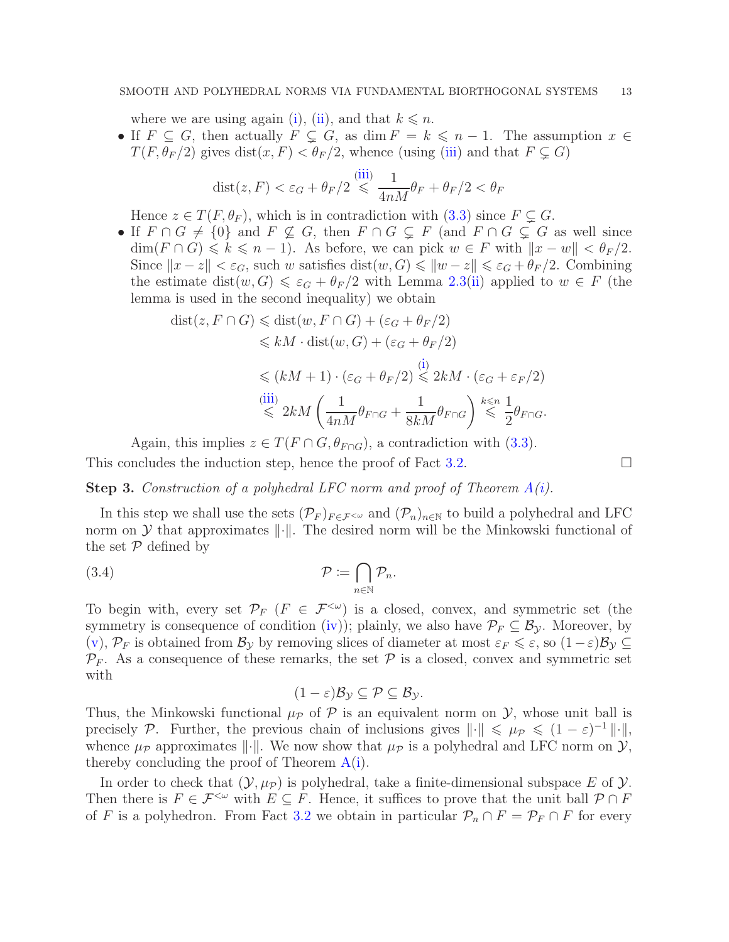where we are using again [\(i\)](#page-8-3), [\(ii\)](#page-8-5), and that  $k \leq n$ .

• If  $F \subseteq G$ , then actually  $F \subsetneq G$ , as dim  $F = k \leq n-1$ . The assumption  $x \in$  $T(F, \theta_F/2)$  gives  $dist(x, F) < \theta_F/2$ , whence (using [\(iii\)](#page-8-4) and that  $F \subsetneq G$ )

$$
dist(z, F) < \varepsilon_G + \theta_F/2 \stackrel{(iii)}{\leq} \frac{1}{4nM} \theta_F + \theta_F/2 < \theta_F
$$

Hence  $z \in T(F, \theta_F)$ , which is in contradiction with  $(3.3)$  since  $F \subsetneq G$ .

• If  $F \cap G \neq \{0\}$  and  $F \nsubseteq G$ , then  $F \cap G \nsubseteq F$  (and  $F \cap G \nsubseteq G$  as well since  $\dim(F \cap G) \leq k \leq n-1$ . As before, we can pick  $w \in F$  with  $||x - w|| < \theta_F/2$ . Since  $||x - z|| < \varepsilon_G$ , such w satisfies dist $(w, G) \le ||w - z|| \le \varepsilon_G + \theta_F/2$ . Combining the estimate dist $(w, G) \leq \varepsilon_G + \theta_F/2$  with Lemma [2.3](#page-5-3)[\(ii\)](#page-5-2) applied to  $w \in F$  (the lemma is used in the second inequality) we obtain

$$
dist(z, F \cap G) \leq dist(w, F \cap G) + (\varepsilon_G + \theta_F/2)
$$
  
\n
$$
\leq kM \cdot dist(w, G) + (\varepsilon_G + \theta_F/2)
$$
  
\n
$$
\leq (kM + 1) \cdot (\varepsilon_G + \theta_F/2) \leq 2kM \cdot (\varepsilon_G + \varepsilon_F/2)
$$
  
\n
$$
\stackrel{\text{(iii)}}{\leq} 2kM \left( \frac{1}{4nM} \theta_{F \cap G} + \frac{1}{8kM} \theta_{F \cap G} \right) \stackrel{k \leq n}{\leq} \frac{1}{2} \theta_{F \cap G}.
$$

Again, this implies  $z \in T(F \cap G, \theta_{F \cap G})$ , a contradiction with [\(3.3\)](#page-11-0).

This concludes the induction step, hence the proof of Fact [3.2.](#page-10-0)  $\Box$ 

<span id="page-12-0"></span>**Step 3.** Construction of a polyhedral LFC norm and proof of Theorem  $A(i)$  $A(i)$ .

In this step we shall use the sets  $(\mathcal{P}_F)_{F \in \mathcal{F}^{< \omega}}$  and  $(\mathcal{P}_n)_{n \in \mathbb{N}}$  to build a polyhedral and LFC norm on  $\mathcal Y$  that approximates  $\|\cdot\|$ . The desired norm will be the Minkowski functional of the set  $P$  defined by

(3.4) 
$$
\mathcal{P} := \bigcap_{n \in \mathbb{N}} \mathcal{P}_n.
$$

To begin with, every set  $\mathcal{P}_F$  ( $F \in \mathcal{F}^{<\omega}$ ) is a closed, convex, and symmetric set (the symmetry is consequence of condition [\(iv\)](#page-8-6)); plainly, we also have  $\mathcal{P}_F \subseteq \mathcal{B}_\mathcal{V}$ . Moreover, by  $(v)$ ,  $\mathcal{P}_F$  is obtained from  $\mathcal{B}_y$  by removing slices of diameter at most  $\varepsilon_F \leq \varepsilon$ , so  $(1-\varepsilon)\mathcal{B}_y \subseteq$  $\mathcal{P}_F$ . As a consequence of these remarks, the set  $\mathcal P$  is a closed, convex and symmetric set with

<span id="page-12-1"></span>
$$
(1-\varepsilon)\mathcal{B}_{\mathcal{Y}}\subseteq\mathcal{P}\subseteq\mathcal{B}_{\mathcal{Y}}.
$$

Thus, the Minkowski functional  $\mu_{\mathcal{P}}$  of  $\mathcal P$  is an equivalent norm on  $\mathcal Y$ , whose unit ball is precisely P. Further, the previous chain of inclusions gives  $\|\cdot\| \le \mu_{\mathcal{P}} \le (1-\varepsilon)^{-1} \|\cdot\|$ , whence  $\mu_{\mathcal{P}}$  approximates  $\|\cdot\|$ . We now show that  $\mu_{\mathcal{P}}$  is a polyhedral and LFC norm on  $\mathcal{Y},$ thereby concluding the proof of Theorem  $A(i)$  $A(i)$ .

In order to check that  $(\mathcal{Y}, \mu_{\mathcal{P}})$  is polyhedral, take a finite-dimensional subspace E of  $\mathcal{Y}$ . Then there is  $F \in \mathcal{F}^{\leq \omega}$  with  $E \subseteq F$ . Hence, it suffices to prove that the unit ball  $\mathcal{P} \cap F$ of F is a polyhedron. From Fact [3.2](#page-10-0) we obtain in particular  $\mathcal{P}_n \cap F = \mathcal{P}_F \cap F$  for every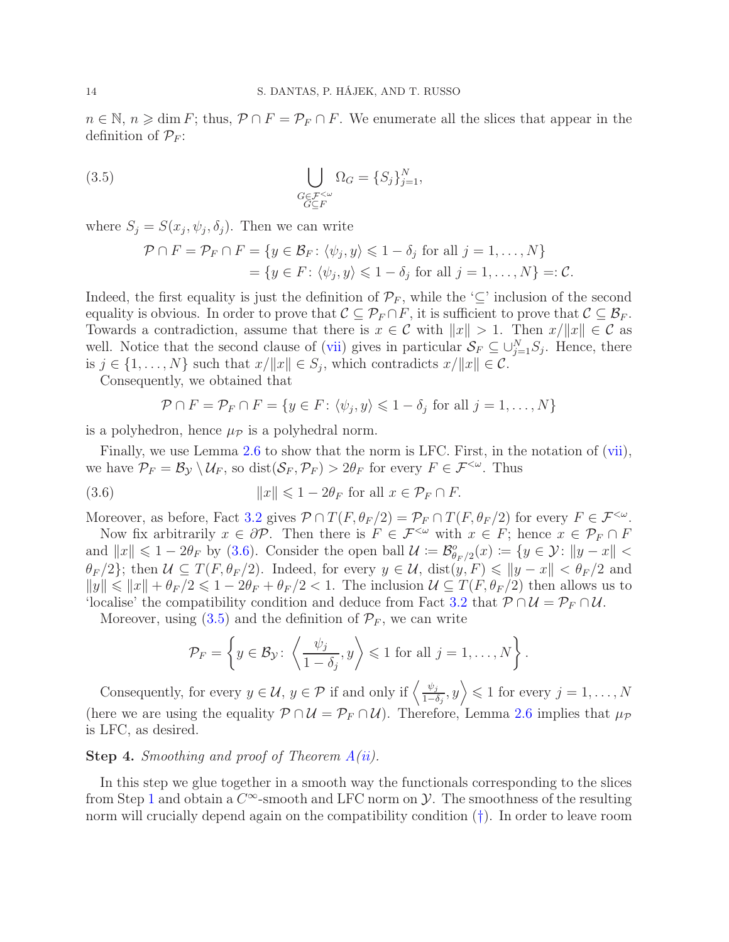$n \in \mathbb{N}, n \geq \dim F$ ; thus,  $P \cap F = P_F \cap F$ . We enumerate all the slices that appear in the definition of  $\mathcal{P}_F$ :

(3.5) 
$$
\bigcup_{\substack{G \in \mathcal{F}^{&\omega} \\ G \subseteq F}} \Omega_G = \{S_j\}_{j=1}^N,
$$

where  $S_j = S(x_j, \psi_j, \delta_j)$ . Then we can write

<span id="page-13-2"></span>
$$
\mathcal{P} \cap F = \mathcal{P}_F \cap F = \{ y \in \mathcal{B}_F \colon \langle \psi_j, y \rangle \leq 1 - \delta_j \text{ for all } j = 1, ..., N \}
$$
  
=  $\{ y \in F \colon \langle \psi_j, y \rangle \leq 1 - \delta_j \text{ for all } j = 1, ..., N \} =: \mathcal{C}.$ 

Indeed, the first equality is just the definition of  $\mathcal{P}_F$ , while the '⊆' inclusion of the second equality is obvious. In order to prove that  $\mathcal{C} \subseteq \mathcal{P}_F \cap F$ , it is sufficient to prove that  $\mathcal{C} \subseteq \mathcal{B}_F$ . Towards a contradiction, assume that there is  $x \in \mathcal{C}$  with  $||x|| > 1$ . Then  $x/||x|| \in \mathcal{C}$  as well. Notice that the second clause of [\(vii\)](#page-8-2) gives in particular  $S_F \subseteq \bigcup_{j=1}^N S_j$ . Hence, there is  $j \in \{1, ..., N\}$  such that  $x/\Vert x \Vert \in S_j$ , which contradicts  $x/\Vert x \Vert \in C$ .

Consequently, we obtained that

<span id="page-13-1"></span>
$$
\mathcal{P} \cap F = \mathcal{P}_F \cap F = \{ y \in F \colon \langle \psi_j, y \rangle \leq 1 - \delta_j \text{ for all } j = 1, ..., N \}
$$

is a polyhedron, hence  $\mu_{\mathcal{P}}$  is a polyhedral norm.

Finally, we use Lemma [2.6](#page-7-2) to show that the norm is LFC. First, in the notation of [\(vii\)](#page-8-2), we have  $\mathcal{P}_F = \mathcal{B}_{\mathcal{Y}} \setminus \mathcal{U}_F$ , so dist $(\mathcal{S}_F, \mathcal{P}_F) > 2\theta_F$  for every  $F \in \mathcal{F}^{<\omega}$ . Thus

(3.6) 
$$
||x|| \leq 1 - 2\theta_F \text{ for all } x \in \mathcal{P}_F \cap F.
$$

Moreover, as before, Fact [3.2](#page-10-0) gives  $\mathcal{P} \cap T(F, \theta_F/2) = \mathcal{P}_F \cap T(F, \theta_F/2)$  for every  $F \in \mathcal{F}^{\lt \omega}$ .

Now fix arbitrarily  $x \in \partial \mathcal{P}$ . Then there is  $F \in \mathcal{F}^{<\omega}$  with  $x \in F$ ; hence  $x \in \mathcal{P}_F \cap F$ and  $||x|| \leq 1 - 2\theta_F$  by [\(3.6\)](#page-13-1). Consider the open ball  $\mathcal{U} := \mathcal{B}_{\theta_F/2}^o(x) := \{y \in \mathcal{Y} : ||y - x|| < \theta_F\}$  $\theta_F/2$ ; then  $\mathcal{U} \subseteq T(F, \theta_F/2)$ . Indeed, for every  $y \in \mathcal{U}$ , dist $(y, F) \leq \|y - x\| < \theta_F/2$  and  $||y|| \le ||x|| + \theta_F/2 \le 1 - 2\theta_F + \theta_F/2 < 1$ . The inclusion  $\mathcal{U} \subseteq T(F, \theta_F/2)$  then allows us to 'localise' the compatibility condition and deduce from Fact [3.2](#page-10-0) that  $\mathcal{P} \cap \mathcal{U} = \mathcal{P}_F \cap \mathcal{U}$ .

Moreover, using  $(3.5)$  and the definition of  $\mathcal{P}_F$ , we can write

$$
\mathcal{P}_F = \left\{ y \in \mathcal{B}_{\mathcal{Y}} \colon \left\langle \frac{\psi_j}{1 - \delta_j}, y \right\rangle \leq 1 \text{ for all } j = 1, \dots, N \right\}.
$$

Consequently, for every  $y \in \mathcal{U}$ ,  $y \in \mathcal{P}$  if and only if  $\left\langle \frac{\psi_j}{1-\epsilon} \right\rangle$  $\left\langle \frac{\psi_j}{1-\delta_j},y\right\rangle \leqslant 1$  for every  $j=1,\ldots,N$ (here we are using the equality  $\mathcal{P} \cap \mathcal{U} = \mathcal{P}_F \cap \mathcal{U}$ ). Therefore, Lemma [2.6](#page-7-2) implies that  $\mu_{\mathcal{P}}$ is LFC, as desired.

# <span id="page-13-0"></span>**Step 4.** Smoothing and proof of Theorem  $A(ii)$  $A(ii)$ .

In this step we glue together in a smooth way the functionals corresponding to the slices from Step [1](#page-8-0) and obtain a  $C^{\infty}$ -smooth and LFC norm on  $\mathcal{Y}$ . The smoothness of the resulting norm will crucially depend again on the compatibility condition  $(†)$  $(†)$  $(†)$ . In order to leave room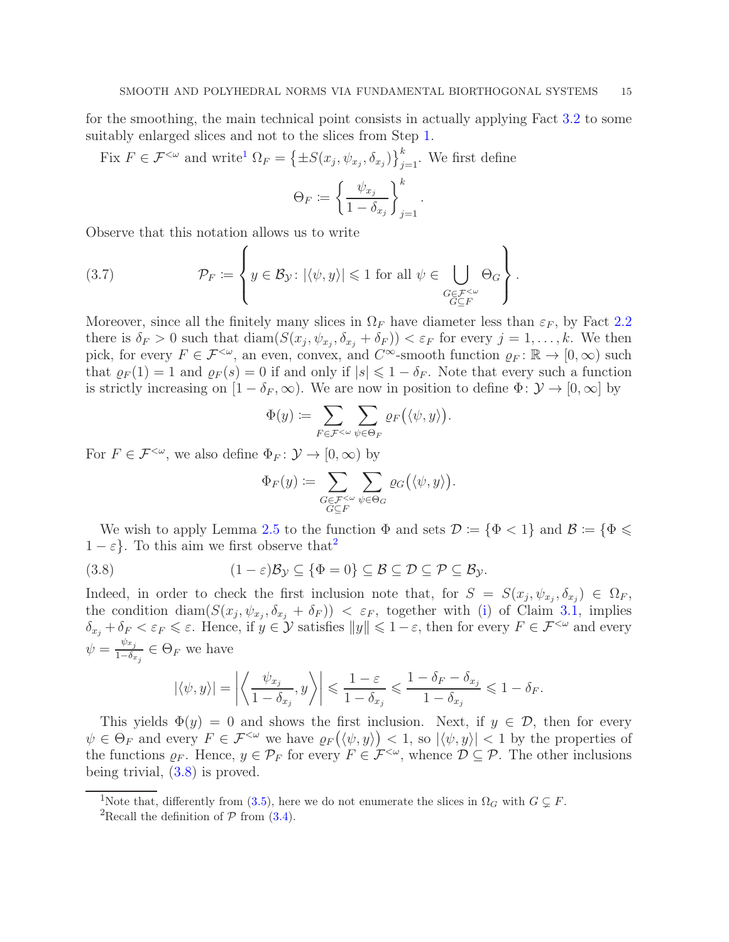for the smoothing, the main technical point consists in actually applying Fact [3.2](#page-10-0) to some suitably enlarged slices and not to the slices from Step [1.](#page-8-0)

Fix  $F \in \mathcal{F}^{\leq \omega}$  and write<sup>[1](#page-14-0)</sup>  $\Omega_F = \left\{\pm S(x_j, \psi_{x_j}, \delta_{x_j})\right\}_{j=1}^k$ . We first define

$$
\Theta_F := \left\{ \frac{\psi_{x_j}}{1 - \delta_{x_j}} \right\}_{j=1}^k.
$$

Observe that this notation allows us to write

<span id="page-14-3"></span>(3.7) 
$$
\mathcal{P}_F := \left\{ y \in \mathcal{B}_{\mathcal{Y}} \colon |\langle \psi, y \rangle| \leq 1 \text{ for all } \psi \in \bigcup_{\substack{G \in \mathcal{F}^{&\omega} \\ G \subseteq F}} \Theta_G \right\}.
$$

Moreover, since all the finitely many slices in  $\Omega_F$  have diameter less than  $\varepsilon_F$ , by Fact [2.2](#page-4-3) there is  $\delta_F > 0$  such that  $\text{diam}(S(x_j, \psi_{x_j}, \delta_{x_j} + \delta_F)) < \varepsilon_F$  for every  $j = 1, \ldots, k$ . We then pick, for every  $F \in \mathcal{F}^{\leq \omega}$ , an even, convex, and  $C^{\infty}$ -smooth function  $\varrho_F : \mathbb{R} \to [0, \infty)$  such that  $\rho_F(1) = 1$  and  $\rho_F(s) = 0$  if and only if  $|s| \leq 1 - \delta_F$ . Note that every such a function is strictly increasing on  $[1 - \delta_F, \infty)$ . We are now in position to define  $\Phi: \mathcal{Y} \to [0, \infty]$  by

$$
\Phi(y) := \sum_{F \in \mathcal{F}^{<\omega}} \sum_{\psi \in \Theta_F} \varrho_F(\langle \psi, y \rangle).
$$

For  $F \in \mathcal{F}^{\leq \omega}$ , we also define  $\Phi_F \colon \mathcal{Y} \to [0, \infty)$  by

<span id="page-14-2"></span>
$$
\Phi_F(y) := \sum_{\substack{G \in \mathcal{F}^{&\omega} \\ G \subseteq F}} \sum_{\psi \in \Theta_G} \varrho_G(\langle \psi, y \rangle).
$$

We wish to apply Lemma [2.5](#page-6-4) to the function  $\Phi$  and sets  $\mathcal{D} := {\Phi < 1}$  and  $\mathcal{B} := {\Phi \le \Phi \le \Phi}$  $1 - \varepsilon$ . To this aim we first observe that<sup>[2](#page-14-1)</sup>

(3.8) 
$$
(1 - \varepsilon)\mathcal{B}_{\mathcal{Y}} \subseteq {\Phi = 0} \subseteq \mathcal{B} \subseteq \mathcal{D} \subseteq \mathcal{P} \subseteq \mathcal{B}_{\mathcal{Y}}.
$$

Indeed, in order to check the first inclusion note that, for  $S = S(x_j, \psi_{x_j}, \delta_{x_j}) \in \Omega_F$ , the condition diam $(S(x_j, \psi_{x_j}, \delta_{x_j} + \delta_F)) < \varepsilon_F$ , together with [\(i\)](#page-8-3) of Claim [3.1,](#page-8-1) implies  $\delta_{x_j} + \delta_F < \varepsilon_F \leqslant \varepsilon$ . Hence, if  $y \in \mathcal{Y}$  satisfies  $||y|| \leqslant 1-\varepsilon$ , then for every  $F \in \mathcal{F}^{<\omega}$  and every  $\psi = \frac{\psi_{x_j}}{1-\delta}$  $\frac{\varphi x_j}{1-\delta_{x_j}} \in \Theta_F$  we have

$$
|\langle \psi, y \rangle| = \left| \left\langle \frac{\psi_{x_j}}{1 - \delta_{x_j}}, y \right\rangle \right| \leq \frac{1 - \varepsilon}{1 - \delta_{x_j}} \leq \frac{1 - \delta_F - \delta_{x_j}}{1 - \delta_{x_j}} \leq 1 - \delta_F.
$$

This yields  $\Phi(y) = 0$  and shows the first inclusion. Next, if  $y \in \mathcal{D}$ , then for every  $\psi \in \Theta_F$  and every  $F \in \mathcal{F}^{\leq \omega}$  we have  $\varrho_F(\langle \psi, y \rangle) \leq 1$ , so  $|\langle \psi, y \rangle| \leq 1$  by the properties of the functions  $\varrho_F$ . Hence,  $y \in \mathcal{P}_F$  for every  $F \in \mathcal{F}^{\lt \omega}$ , whence  $\mathcal{D} \subseteq \mathcal{P}$ . The other inclusions being trivial, [\(3.8\)](#page-14-2) is proved.

<sup>&</sup>lt;sup>1</sup>Note that, differently from [\(3.5\)](#page-13-2), here we do not enumerate the slices in  $\Omega_G$  with  $G \subsetneq F$ .

<span id="page-14-1"></span><span id="page-14-0"></span><sup>&</sup>lt;sup>2</sup>Recall the definition of  $P$  from [\(3.4\)](#page-12-1).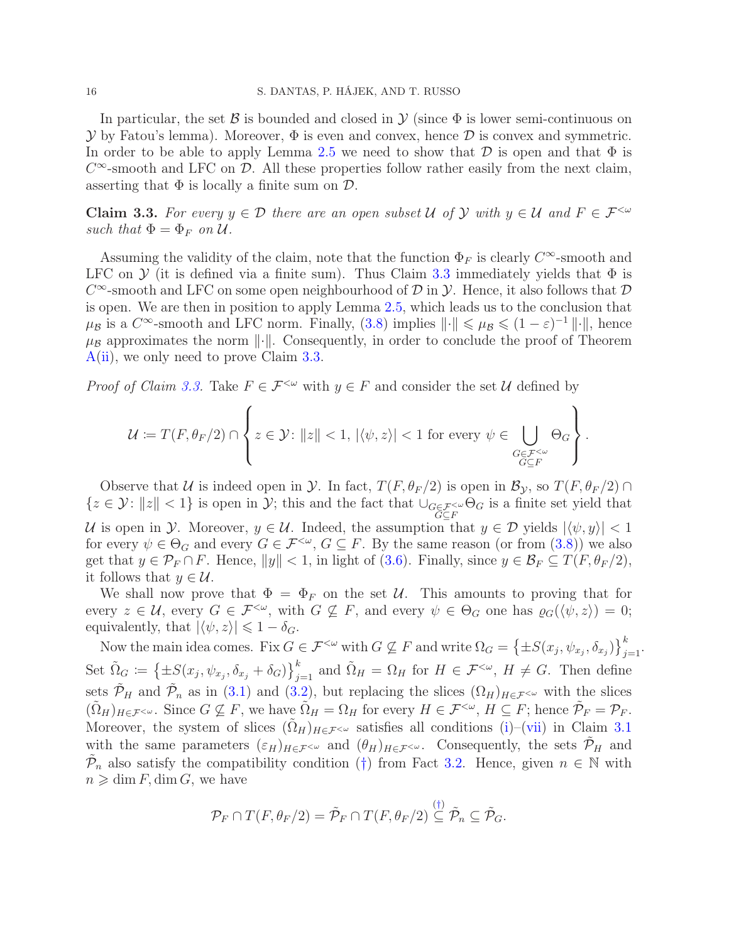In particular, the set  $\beta$  is bounded and closed in  $\mathcal Y$  (since  $\Phi$  is lower semi-continuous on  $\mathcal Y$  by Fatou's lemma). Moreover,  $\Phi$  is even and convex, hence  $\mathcal D$  is convex and symmetric. In order to be able to apply Lemma [2.5](#page-6-4) we need to show that  $\mathcal D$  is open and that  $\Phi$  is  $C^{\infty}$ -smooth and LFC on D. All these properties follow rather easily from the next claim, asserting that  $\Phi$  is locally a finite sum on  $\mathcal{D}$ .

<span id="page-15-0"></span>Claim 3.3. For every  $y \in \mathcal{D}$  there are an open subset U of Y with  $y \in \mathcal{U}$  and  $F \in \mathcal{F}^{&\omega}$ such that  $\Phi = \Phi_F$  on  $\mathcal{U}$ .

Assuming the validity of the claim, note that the function  $\Phi_F$  is clearly  $C^{\infty}$ -smooth and LFC on  $\mathcal Y$  (it is defined via a finite sum). Thus Claim [3.3](#page-15-0) immediately yields that  $\Phi$  is  $C^{\infty}$ -smooth and LFC on some open neighbourhood of  $D$  in  $\mathcal{Y}$ . Hence, it also follows that  $D$ is open. We are then in position to apply Lemma [2.5,](#page-6-4) which leads us to the conclusion that  $\mu_B$  is a  $C^{\infty}$ -smooth and LFC norm. Finally, [\(3.8\)](#page-14-2) implies  $\|\cdot\| \leq \mu_B \leq (1 - \varepsilon)^{-1} \|\cdot\|$ , hence  $\mu_B$  approximates the norm  $\lVert \cdot \rVert$ . Consequently, in order to conclude the proof of Theorem [A](#page-1-3)[\(ii\)](#page-1-2), we only need to prove Claim [3.3.](#page-15-0)

*Proof of Claim [3.3.](#page-15-0)* Take  $F \in \mathcal{F}^{\leq \omega}$  with  $y \in F$  and consider the set U defined by

$$
\mathcal{U} \coloneqq T(F, \theta_F/2) \cap \left\{ z \in \mathcal{Y} \colon \|z\| < 1, \ |\langle \psi, z \rangle| < 1 \text{ for every } \psi \in \bigcup_{\substack{G \in \mathcal{F}^{<\omega} \\ G \subseteq F}} \Theta_G \right\}.
$$

Observe that U is indeed open in  $\mathcal Y$ . In fact,  $T(F, \theta_F/2)$  is open in  $\mathcal B_{\mathcal Y}$ , so  $T(F, \theta_F/2) \cap$  $\{z \in \mathcal{Y}: ||z|| < 1\}$  is open in  $\mathcal{Y}$ ; this and the fact that  $\bigcup_{\substack{G \in \mathcal{F}^{\lt}\omega \\ G \subseteq F}} \Theta_G$  is a finite set yield that U is open in Y. Moreover,  $y \in U$ . Indeed, the assumption that  $y \in \mathcal{D}$  yields  $|\langle \psi, y \rangle| < 1$ for every  $\psi \in \Theta_G$  and every  $G \in \mathcal{F}^{<\omega}$ ,  $G \subseteq F$ . By the same reason (or from  $(3.8)$ ) we also get that  $y \in \mathcal{P}_F \cap F$ . Hence,  $||y|| < 1$ , in light of [\(3.6\)](#page-13-1). Finally, since  $y \in \mathcal{B}_F \subseteq T(F, \theta_F/2)$ , it follows that  $y \in \mathcal{U}$ .

We shall now prove that  $\Phi = \Phi_F$  on the set U. This amounts to proving that for every  $z \in \mathcal{U}$ , every  $G \in \mathcal{F}^{\leq \omega}$ , with  $G \nsubseteq F$ , and every  $\psi \in \Theta_G$  one has  $\varrho_G(\langle \psi, z \rangle) = 0$ ; equivalently, that  $|\langle \psi, z \rangle| \leq 1 - \delta_G$ .

Now the main idea comes. Fix  $G \in \mathcal{F}^{\leq \omega}$  with  $G \nsubseteq F$  and write  $\Omega_G = \left\{ \pm S(x_j, \psi_{x_j}, \delta_{x_j}) \right\}_{j=1}^k$ . Set  $\tilde{\Omega}_G := \left\{ \pm S(x_j, \psi_{x_j}, \delta_{x_j} + \delta_G) \right\}_{j=1}^k$  and  $\tilde{\Omega}_H = \Omega_H$  for  $H \in \mathcal{F}^{\leq \omega}$ ,  $H \neq G$ . Then define sets  $\tilde{\mathcal{P}}_H$  and  $\tilde{\mathcal{P}}_n$  as in [\(3.1\)](#page-10-4) and [\(3.2\)](#page-10-1), but replacing the slices  $(\Omega_H)_{H\in\mathcal{F}^{<\omega}}$  with the slices  $(\tilde{\Omega}_H)_{H\in\mathcal{F}^{<\omega}}$ . Since  $G \nsubseteq F$ , we have  $\tilde{\Omega}_H = \Omega_H$  for every  $H \in \mathcal{F}^{<\omega}$ ,  $H \subseteq F$ ; hence  $\tilde{\mathcal{P}}_F = \mathcal{P}_F$ . Moreover, the system of slices  $(\tilde{\Omega}_H)_{H\in\mathcal{F}^{&\omega}}$  satisfies all conditions [\(i\)](#page-8-3)–[\(vii\)](#page-8-2) in Claim [3.1](#page-8-1) with the same parameters  $(\varepsilon_H)_{H\in\mathcal{F}^{&\omega}}$  and  $(\theta_H)_{H\in\mathcal{F}^{&\omega}}$ . Consequently, the sets  $\mathcal{P}_H$  and  $\tilde{\mathcal{P}}_n$  also satisfy the compatibility condition ([†](#page-10-3)) from Fact [3.2.](#page-10-0) Hence, given  $n \in \mathbb{N}$  with  $n \geqslant \dim F$ , dim G, we have

$$
\mathcal{P}_F \cap T(F,\theta_F/2) = \tilde{\mathcal{P}}_F \cap T(F,\theta_F/2) \stackrel{(\dagger)}{\subseteq} \tilde{\mathcal{P}}_n \subseteq \tilde{\mathcal{P}}_G.
$$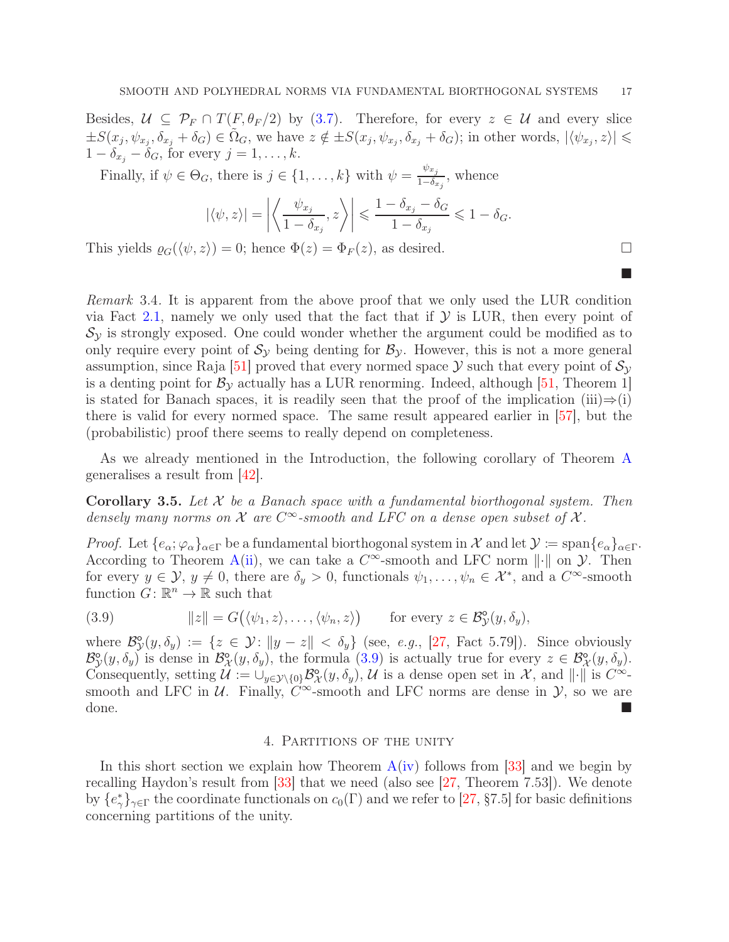Besides,  $U \subseteq \mathcal{P}_F \cap T(F,\theta_F/2)$  by [\(3.7\)](#page-14-3). Therefore, for every  $z \in \mathcal{U}$  and every slice  $\pm S(x_j, \psi_{x_j}, \delta_{x_j} + \delta_G) \in \tilde{\Omega}_G$ , we have  $z \notin \pm S(x_j, \psi_{x_j}, \delta_{x_j} + \delta_G)$ ; in other words,  $|\langle \psi_{x_j}, z \rangle| \leq$  $1 - \delta_{x_j} - \delta_G$ , for every  $j = 1, \ldots, k$ .

Finally, if  $\psi \in \Theta_G$ , there is  $j \in \{1, ..., k\}$  with  $\psi = \frac{\psi_{x_j}}{1 - \delta_x}$  $\frac{\varphi x_j}{1-\delta_{x_j}}$ , whence

$$
|\langle \psi, z \rangle| = \left| \left\langle \frac{\psi_{x_j}}{1 - \delta_{x_j}}, z \right\rangle \right| \leq \frac{1 - \delta_{x_j} - \delta_G}{1 - \delta_{x_j}} \leq 1 - \delta_G.
$$

This yields  $\varrho_G(\langle \psi, z \rangle) = 0$ ; hence  $\Phi(z) = \Phi_F(z)$ , as desired.

<span id="page-16-3"></span>Remark 3.4. It is apparent from the above proof that we only used the LUR condition via Fact [2.1,](#page-4-2) namely we only used that the fact that if  $\mathcal Y$  is LUR, then every point of  $\mathcal{S}_{\mathcal{Y}}$  is strongly exposed. One could wonder whether the argument could be modified as to only require every point of  $S_y$  being denting for  $B_y$ . However, this is not a more general assumption, since Raja [\[51\]](#page-23-8) proved that every normed space  $\mathcal Y$  such that every point of  $\mathcal S_{\mathcal Y}$ is a denting point for  $\mathcal{B}_{\mathcal{V}}$  actually has a LUR renorming. Indeed, although [\[51,](#page-23-8) Theorem 1] is stated for Banach spaces, it is readily seen that the proof of the implication (iii) $\Rightarrow$ (i) there is valid for every normed space. The same result appeared earlier in [57], but the (probabilistic) proof there seems to really depend on completeness.

As we already mentioned in the Introduction, the following corollary of Theorem [A](#page-1-3) generalises a result from [42].

<span id="page-16-1"></span>**Corollary 3.5.** Let  $\mathcal{X}$  be a Banach space with a fundamental biorthogonal system. Then densely many norms on  $\mathcal X$  are  $C^{\infty}$ -smooth and LFC on a dense open subset of  $\mathcal X$ .

Proof. Let  $\{e_{\alpha}; \varphi_{\alpha}\}_{{\alpha}\in \Gamma}$  be a fundamental biorthogonal system in X and let  $\mathcal{Y} \coloneqq \text{span}\{e_{\alpha}\}_{{\alpha}\in \Gamma}$ . According to Theorem [A\(](#page-1-3)[ii\)](#page-1-2), we can take a  $C^{\infty}$ -smooth and LFC norm  $\|\cdot\|$  on  $\mathcal{Y}$ . Then for every  $y \in \mathcal{Y}, y \neq 0$ , there are  $\delta_y > 0$ , functionals  $\psi_1, \ldots, \psi_n \in \mathcal{X}^*$ , and a  $C^{\infty}$ -smooth function  $G: \mathbb{R}^n \to \mathbb{R}$  such that

<span id="page-16-2"></span>(3.9) 
$$
||z|| = G(\langle \psi_1, z \rangle, \dots, \langle \psi_n, z \rangle) \quad \text{for every } z \in \mathcal{B}_\mathcal{Y}^\mathsf{o}(y, \delta_y),
$$

where  $\mathcal{B}^{\circ}_{\mathcal{Y}}$  $\mathcal{S}_y(y, \delta_y) := \{z \in \mathcal{Y} : ||y - z|| < \delta_y\}$  (see, e.g., [\[27,](#page-22-0) Fact 5.79]). Since obviously  $\mathcal{B}^{\circ}_{\mathcal{Y}}$  $\mathcal{B}_{\mathcal{X}}(y, \delta_y)$  is dense in  $\mathcal{B}_{\mathcal{X}}^{\mathsf{o}}(y, \delta_y)$ , the formula [\(3.9\)](#page-16-2) is actually true for every  $z \in \mathcal{B}_{\mathcal{X}}^{\mathsf{o}}(y, \delta_y)$ . Consequently, setting  $\mathcal{U} := \bigcup_{y \in \mathcal{Y} \setminus \{0\}} \mathcal{B}_{\lambda}^{\circ}$  $\mathcal{X}_{\mathcal{X}}(y, \delta_y)$ , U is a dense open set in X, and  $\|\cdot\|$  is  $C^{\infty}$ smooth and LFC in  $\mathcal{U}$ . Finally,  $\widetilde{C}^{\infty}$ -smooth and LFC norms are dense in  $\mathcal{Y}$ , so we are done.

# 4. Partitions of the unity

<span id="page-16-0"></span>In this short section we explain how Theorem  $A(iv)$  $A(iv)$  follows from [\[33\]](#page-22-5) and we begin by recalling Haydon's result from  $|33|$  that we need (also see  $|27$ , Theorem 7.53). We denote by  ${e^*_{\gamma}}_{\gamma \in \Gamma}$  the coordinate functionals on  $c_0(\Gamma)$  and we refer to [\[27,](#page-22-0) §7.5] for basic definitions concerning partitions of the unity.

 $\mathbb{R}^n$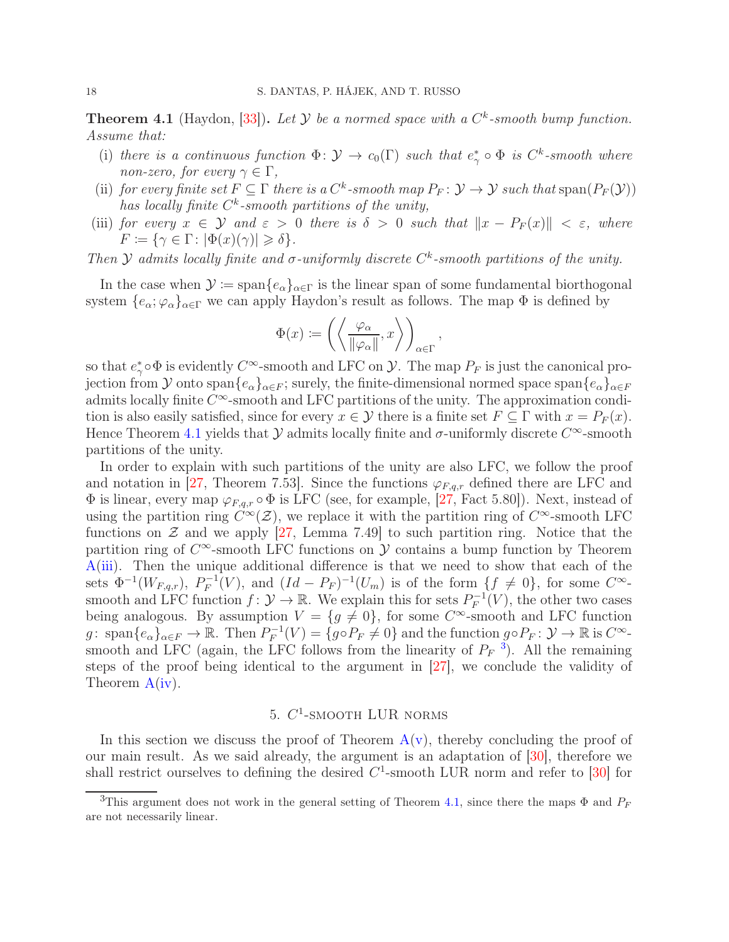<span id="page-17-1"></span>**Theorem 4.1** (Haydon, [\[33\]](#page-22-5)). Let  $Y$  be a normed space with a  $C<sup>k</sup>$ -smooth bump function. Assume that:

- (i) there is a continuous function  $\Phi \colon \mathcal{Y} \to c_0(\Gamma)$  such that  $e^*_{\gamma} \circ \Phi$  is  $C^k$ -smooth where non-zero, for every  $\gamma \in \Gamma$ ,
- (ii) for every finite set  $F \subseteq \Gamma$  there is a  $C^k$ -smooth map  $P_F \colon \mathcal{Y} \to \mathcal{Y}$  such that span $(P_F(\mathcal{Y}))$ has locally finite  $C^k$ -smooth partitions of the unity,
- (iii) for every  $x \in Y$  and  $\varepsilon > 0$  there is  $\delta > 0$  such that  $||x P_F(x)|| < \varepsilon$ , where  $F \coloneqq \{ \gamma \in \Gamma : |\Phi(x)(\gamma)| \geqslant \delta \}.$

Then  $Y$  admits locally finite and  $\sigma$ -uniformly discrete  $C^k$ -smooth partitions of the unity.

In the case when  $\mathcal{Y} := \text{span}\{e_{\alpha}\}_{{\alpha \in \Gamma}}$  is the linear span of some fundamental biorthogonal system  $\{e_{\alpha}; \varphi_{\alpha}\}_{{\alpha}\in \Gamma}$  we can apply Haydon's result as follows. The map  $\Phi$  is defined by

$$
\Phi(x) := \left( \left\langle \frac{\varphi_{\alpha}}{\|\varphi_{\alpha}\|}, x \right\rangle \right)_{\alpha \in \Gamma},
$$

so that  $e^*_{\gamma} \circ \Phi$  is evidently  $C^{\infty}$ -smooth and LFC on  $\mathcal{Y}$ . The map  $P_F$  is just the canonical projection from Y onto span $\{e_\alpha\}_{\alpha \in F}$ ; surely, the finite-dimensional normed space span $\{e_\alpha\}_{\alpha \in F}$ admits locally finite  $C^{\infty}$ -smooth and LFC partitions of the unity. The approximation condition is also easily satisfied, since for every  $x \in \mathcal{Y}$  there is a finite set  $F \subseteq \Gamma$  with  $x = P_F(x)$ . Hence Theorem [4.1](#page-17-1) yields that  $\mathcal Y$  admits locally finite and  $\sigma$ -uniformly discrete  $C^{\infty}$ -smooth partitions of the unity.

In order to explain with such partitions of the unity are also LFC, we follow the proof and notation in [\[27,](#page-22-0) Theorem 7.53]. Since the functions  $\varphi_{F,q,r}$  defined there are LFC and  $\Phi$  is linear, every map  $\varphi_{F,q,r} \circ \Phi$  is LFC (see, for example, [\[27,](#page-22-0) Fact 5.80]). Next, instead of using the partition ring  $C^{\infty}(\mathcal{Z})$ , we replace it with the partition ring of  $C^{\infty}$ -smooth LFC functions on  $\mathcal Z$  and we apply [\[27,](#page-22-0) Lemma 7.49] to such partition ring. Notice that the partition ring of  $C^{\infty}$ -smooth LFC functions on  $\mathcal Y$  contains a bump function by Theorem [A](#page-1-3)[\(iii\)](#page-2-1). Then the unique additional difference is that we need to show that each of the sets  $\Phi^{-1}(W_{F,q,r}), P_F^{-1}$  $F^{-1}(V)$ , and  $(Id - P_F)^{-1}(U_m)$  is of the form  $\{f \neq 0\}$ , for some  $C^{\infty}$ smooth and LFC function  $f: \mathcal{Y} \to \mathbb{R}$ . We explain this for sets  $P_F^{-1}$  $\mathcal{F}^{-1}(V)$ , the other two cases being analogous. By assumption  $V = \{g \neq 0\}$ , for some  $C^{\infty}$ -smooth and LFC function g: span $\{e_{\alpha}\}_{{\alpha \in F}} \to \mathbb{R}$ . Then  $P_F^{-1}$  $P_F^{-1}(V) = \{g \circ P_F \neq 0\}$  and the function  $g \circ P_F : \mathcal{Y} \to \mathbb{R}$  is  $C^{\infty}$ . smooth and LFC (again, the LFC follows from the linearity of  $P_F$ <sup>[3](#page-17-2)</sup>). All the remaining steps of the proof being identical to the argument in [\[27\]](#page-22-0), we conclude the validity of Theorem [A\(](#page-1-3)[iv\)](#page-2-2).

# 5.  $C^1$ -SMOOTH LUR NORMS

<span id="page-17-0"></span>In this section we discuss the proof of Theorem  $A(v)$  $A(v)$ , thereby concluding the proof of our main result. As we said already, the argument is an adaptation of [\[30\]](#page-22-6), therefore we shall restrict ourselves to defining the desired  $C^1$ -smooth LUR norm and refer to [\[30\]](#page-22-6) for

<span id="page-17-2"></span><sup>&</sup>lt;sup>3</sup>This argument does not work in the general setting of Theorem [4.1,](#page-17-1) since there the maps  $\Phi$  and  $P_F$ are not necessarily linear.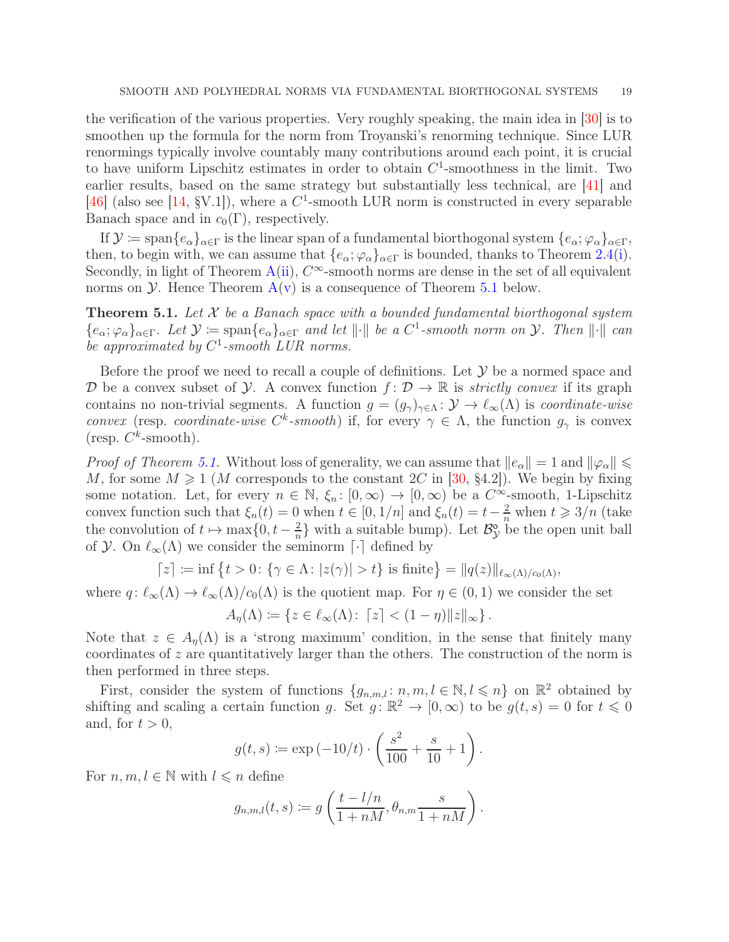the verification of the various properties. Very roughly speaking, the main idea in [\[30\]](#page-22-6) is to smoothen up the formula for the norm from Troyanski's renorming technique. Since LUR renormings typically involve countably many contributions around each point, it is crucial to have uniform Lipschitz estimates in order to obtain  $C<sup>1</sup>$ -smoothness in the limit. Two earlier results, based on the same strategy but substantially less technical, are [\[41\]](#page-22-17) and [\[46\]](#page-23-0) (also see [\[14,](#page-21-1) §V.1]), where a  $C^1$ -smooth LUR norm is constructed in every separable Banach space and in  $c_0(\Gamma)$ , respectively.

If  $\mathcal{Y} \coloneqq \text{span}\{e_{\alpha}\}_{{\alpha} \in \Gamma}$  is the linear span of a fundamental biorthogonal system  $\{e_{\alpha}; \varphi_{\alpha}\}_{{\alpha} \in \Gamma}$ , then, to begin with, we can assume that  $\{e_{\alpha}; \varphi_{\alpha}\}_{{\alpha}\in \Gamma}$  is bounded, thanks to Theorem [2.4](#page-6-3)[\(i\)](#page-6-1). Secondly, in light of Theorem  $A(i)$  $A(i)$ ,  $C^{\infty}$ -smooth norms are dense in the set of all equivalent norms on  $\mathcal Y$ . Hence Theorem  $A(v)$  $A(v)$  is a consequence of Theorem [5.1](#page-18-0) below.

<span id="page-18-0"></span>**Theorem 5.1.** Let  $X$  be a Banach space with a bounded fundamental biorthogonal system  ${e_{\alpha}; \varphi_{\alpha}\}_{\alpha \in \Gamma}$ . Let  $\mathcal{Y} \coloneqq \text{span}\{e_{\alpha}\}_{\alpha \in \Gamma}$  and let  $\|\cdot\|$  be a  $C^1$ -smooth norm on  $\mathcal{Y}$ . Then  $\|\cdot\|$  can be approximated by  $C^1$ -smooth LUR norms.

Before the proof we need to recall a couple of definitions. Let  $\mathcal Y$  be a normed space and D be a convex subset of  $\mathcal{Y}$ . A convex function  $f: \mathcal{D} \to \mathbb{R}$  is *strictly convex* if its graph contains no non-trivial segments. A function  $g = (g_{\gamma})_{\gamma \in \Lambda}$ :  $\mathcal{Y} \to \ell_{\infty}(\Lambda)$  is *coordinate-wise* convex (resp. coordinate-wise  $C^k$ -smooth) if, for every  $\gamma \in \Lambda$ , the function  $g_{\gamma}$  is convex (resp.  $C^k$ -smooth).

*Proof of Theorem [5.1.](#page-18-0)* Without loss of generality, we can assume that  $||e_\alpha|| = 1$  and  $||\varphi_\alpha|| \le$ M, for some  $M \geq 1$  (M corresponds to the constant 2C in [\[30,](#page-22-6) §4.2]). We begin by fixing some notation. Let, for every  $n \in \mathbb{N}$ ,  $\xi_n$ :  $[0,\infty) \to [0,\infty)$  be a  $C^{\infty}$ -smooth, 1-Lipschitz convex function such that  $\xi_n(t) = 0$  when  $t \in [0, 1/n]$  and  $\xi_n(t) = t - \frac{2}{n}$  when  $t \geq 3/n$  (take the convolution of  $t \mapsto \max\{0, t - \frac{2}{n}\}$  $\frac{2}{n}$  with a suitable bump). Let  $\mathcal{B}_{\mathcal{Y}}^{\circ}$  be the open unit ball of  $\mathcal Y$ . On  $\ell_{\infty}(\Lambda)$  we consider the seminorm  $\lceil \cdot \rceil$  defined by

$$
\lceil z \rceil := \inf \{ t > 0 \colon \{ \gamma \in \Lambda \colon |z(\gamma)| > t \} \text{ is finite} \} = \| q(z) \|_{\ell_\infty(\Lambda)/c_0(\Lambda)},
$$

where  $q: \ell_{\infty}(\Lambda) \to \ell_{\infty}(\Lambda)/c_0(\Lambda)$  is the quotient map. For  $\eta \in (0,1)$  we consider the set

$$
A_{\eta}(\Lambda) \coloneqq \{ z \in \ell_{\infty}(\Lambda) \colon \lceil z \rceil < (1 - \eta) \lVert z \rVert_{\infty} \}.
$$

Note that  $z \in A_n(\Lambda)$  is a 'strong maximum' condition, in the sense that finitely many coordinates of z are quantitatively larger than the others. The construction of the norm is then performed in three steps.

First, consider the system of functions  $\{g_{n,m,l}: n, m, l \in \mathbb{N}, l \leq n\}$  on  $\mathbb{R}^2$  obtained by shifting and scaling a certain function g. Set  $g: \mathbb{R}^2 \to [0, \infty)$  to be  $g(t, s) = 0$  for  $t \leq 0$ and, for  $t > 0$ ,

$$
g(t,s) \coloneqq \exp(-10/t) \cdot \left(\frac{s^2}{100} + \frac{s}{10} + 1\right).
$$

For  $n, m, l \in \mathbb{N}$  with  $l \leq n$  define

$$
g_{n,m,l}(t,s) := g\left(\frac{t-l/n}{1+nM}, \theta_{n,m} \frac{s}{1+nM}\right).
$$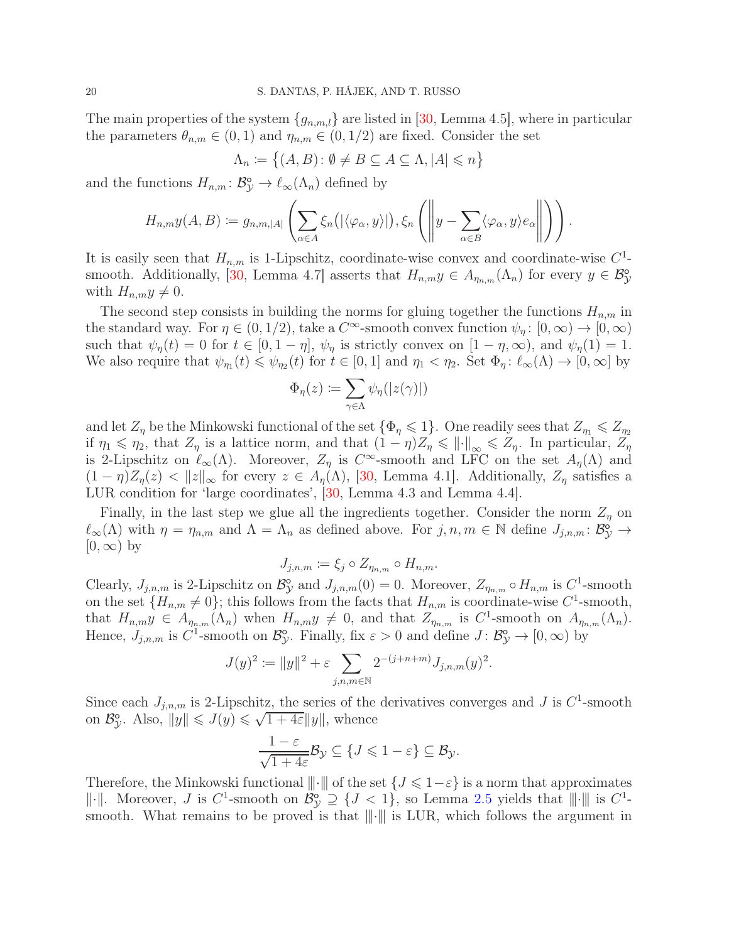The main properties of the system  $\{g_{n,m,l}\}\$  are listed in [\[30,](#page-22-6) Lemma 4.5], where in particular the parameters  $\theta_{n,m} \in (0,1)$  and  $\eta_{n,m} \in (0,1/2)$  are fixed. Consider the set

$$
\Lambda_n := \big\{ (A, B) \colon \emptyset \neq B \subseteq A \subseteq \Lambda, |A| \leq n \big\}
$$

and the functions  $H_{n,m} : \mathcal{B}_{\mathcal{Y}}^{\mathfrak{0}} \to \ell_{\infty}(\Lambda_n)$  defined by

$$
H_{n,m}y(A,B) \coloneqq g_{n,m,|A|} \left( \sum_{\alpha \in A} \xi_n(|\langle \varphi_\alpha, y \rangle|), \xi_n \left( \left\| y - \sum_{\alpha \in B} \langle \varphi_\alpha, y \rangle e_\alpha \right\| \right) \right).
$$

It is easily seen that  $H_{n,m}$  is 1-Lipschitz, coordinate-wise convex and coordinate-wise  $C^1$ -smooth. Additionally, [\[30,](#page-22-6) Lemma 4.7] asserts that  $H_{n,m}y \in A_{\eta_{n,m}}(\Lambda_n)$  for every  $y \in \mathcal{B}_{\mathcal{Y}}^{\mathcal{S}}$ with  $H_{n,m}y \neq 0$ .

The second step consists in building the norms for gluing together the functions  $H_{n,m}$  in the standard way. For  $\eta \in (0, 1/2)$ , take a  $C^{\infty}$ -smooth convex function  $\psi_{\eta} : [0, \infty) \to [0, \infty)$ such that  $\psi_{\eta}(t) = 0$  for  $t \in [0, 1 - \eta], \psi_{\eta}$  is strictly convex on  $[1 - \eta, \infty)$ , and  $\psi_{\eta}(1) = 1$ . We also require that  $\psi_{\eta_1}(t) \leq \psi_{\eta_2}(t)$  for  $t \in [0,1]$  and  $\eta_1 < \eta_2$ . Set  $\Phi_{\eta}: \ell_{\infty}(\Lambda) \to [0,\infty]$  by

$$
\Phi_\eta(z) \coloneqq \sum_{\gamma \in \Lambda} \psi_\eta(|z(\gamma)|)
$$

and let  $Z_n$  be the Minkowski functional of the set  $\{\Phi_n \leq 1\}$ . One readily sees that  $Z_n \leq Z_n$ if  $\eta_1 \leq \eta_2$ , that  $Z_\eta$  is a lattice norm, and that  $(1 - \eta)Z_\eta \leq \|\cdot\|_\infty \leq Z_\eta$ . In particular,  $Z_\eta$ is 2-Lipschitz on  $\ell_{\infty}(\Lambda)$ . Moreover,  $Z_{\eta}$  is  $C^{\infty}$ -smooth and LFC on the set  $A_{\eta}(\Lambda)$  and  $(1 - \eta)Z_n(z) < ||z||_{\infty}$  for every  $z \in A_n(\Lambda)$ , [\[30,](#page-22-6) Lemma 4.1]. Additionally,  $Z_n$  satisfies a LUR condition for 'large coordinates', [\[30,](#page-22-6) Lemma 4.3 and Lemma 4.4].

Finally, in the last step we glue all the ingredients together. Consider the norm  $Z_n$  on  $\ell_{\infty}(\Lambda)$  with  $\eta = \eta_{n,m}$  and  $\Lambda = \Lambda_n$  as defined above. For  $j, n, m \in \mathbb{N}$  define  $J_{j,n,m} \colon \mathcal{B}_{\mathcal{Y}}^{\mathsf{o}^{\prime}} \to$  $[0, \infty)$  by

$$
J_{j,n,m} := \xi_j \circ Z_{\eta_{n,m}} \circ H_{n,m}.
$$

Clearly,  $J_{j,n,m}$  is 2-Lipschitz on  $\mathcal{B}_{\mathcal{Y}}^{\circ}$  $\mathcal{Y}$  and  $J_{j,n,m}(0) = 0$ . Moreover,  $Z_{\eta_{n,m}} \circ H_{n,m}$  is  $C^1$ -smooth on the set  $\{H_{n,m}\neq 0\}$ ; this follows from the facts that  $H_{n,m}$  is coordinate-wise  $C^1$ -smooth, that  $H_{n,m}y \in A_{\eta_{n,m}}(\Lambda_n)$  when  $H_{n,m}y \neq 0$ , and that  $Z_{\eta_{n,m}}$  is  $C^1$ -smooth on  $A_{\eta_{n,m}}(\Lambda_n)$ . Hence,  $J_{j,n,m}$  is  $C^1$ -smooth on  $\mathcal{B}_{\mathcal{Y}}^{\circ}$  $\hat{\mathcal{Y}}$ . Finally, fix  $\varepsilon > 0$  and define  $J: \mathcal{B}_{\mathcal{Y}}^{\circ} \to [0, \infty)$  by

$$
J(y)^2 := \|y\|^2 + \varepsilon \sum_{j,n,m \in \mathbb{N}} 2^{-(j+n+m)} J_{j,n,m}(y)^2.
$$

Since each  $J_{j,n,m}$  is 2-Lipschitz, the series of the derivatives converges and J is  $C^1$ -smooth on  $\mathcal{B}_3^{\circ}$  $\mathcal{C}_{\mathcal{Y}}^{\circ}$ . Also,  $||y|| \leqslant J(y) \leqslant \sqrt{1+4\varepsilon} ||y||$ , whence

$$
\frac{1-\varepsilon}{\sqrt{1+4\varepsilon}}\mathcal{B}_{\mathcal{Y}}\subseteq\{J\leqslant 1-\varepsilon\}\subseteq\mathcal{B}_{\mathcal{Y}}.
$$

Therefore, the Minkowski functional  $\|\cdot\|$  of the set  $\{J \leq 1-\varepsilon\}$  is a norm that approximates  $\|\cdot\|$ . Moreover, J is C<sup>1</sup>-smooth on  $\mathcal{B}_{\mathcal{Y}}^{\circ} \supseteq \{J \leq 1\}$ , so Lemma [2.5](#page-6-4) yields that  $\|\cdot\|$  is  $C^1$ smooth. What remains to be proved is that  $\|\cdot\|$  is LUR, which follows the argument in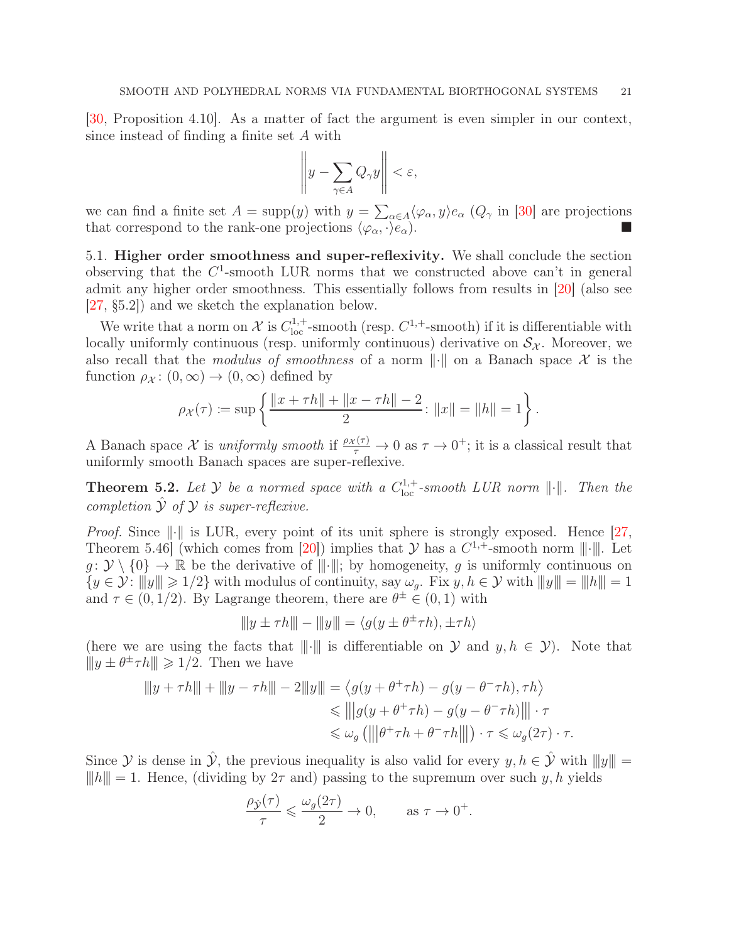[\[30,](#page-22-6) Proposition 4.10]. As a matter of fact the argument is even simpler in our context, since instead of finding a finite set A with

$$
\left\|y - \sum_{\gamma \in A} Q_{\gamma} y\right\| < \varepsilon,
$$

we can find a finite set  $A = \text{supp}(y)$  with  $y = \sum_{\alpha \in A} \langle \varphi_{\alpha}, y \rangle e_{\alpha}$  ( $Q_{\gamma}$  in [\[30\]](#page-22-6) are projections that correspond to the rank-one projections  $\langle \varphi_{\alpha}, \cdot \rangle e_{\alpha}$ .

<span id="page-20-0"></span>5.1. Higher order smoothness and super-reflexivity. We shall conclude the section observing that the  $C^1$ -smooth LUR norms that we constructed above can't in general admit any higher order smoothness. This essentially follows from results in [\[20\]](#page-22-2) (also see [\[27,](#page-22-0) §5.2]) and we sketch the explanation below.

We write that a norm on  $\mathcal{X}$  is  $C_{loc}^{1,+}$ -smooth (resp.  $C^{1,+}$ -smooth) if it is differentiable with locally uniformly continuous (resp. uniformly continuous) derivative on  $S_{\mathcal{X}}$ . Moreover, we also recall that the *modulus of smoothness* of a norm  $\|\cdot\|$  on a Banach space X is the function  $\rho_{\mathcal{X}}: (0, \infty) \to (0, \infty)$  defined by

$$
\rho_{\mathcal{X}}(\tau) \coloneqq \sup \left\{ \frac{\|x + \tau h\| + \|x - \tau h\| - 2}{2} : \|x\| = \|h\| = 1 \right\}.
$$

A Banach space X is uniformly smooth if  $\frac{\rho_X(\tau)}{\tau} \to 0$  as  $\tau \to 0^+$ ; it is a classical result that uniformly smooth Banach spaces are super-reflexive.

<span id="page-20-1"></span>**Theorem 5.2.** Let Y be a normed space with a  $C^{1,+}_{loc}$ -smooth LUR norm  $\|\cdot\|$ . Then the completion  $\hat{y}$  of  $\hat{y}$  is super-reflexive.

*Proof.* Since  $\|\cdot\|$  is LUR, every point of its unit sphere is strongly exposed. Hence [\[27,](#page-22-0) Theorem 5.46 (which comes from [\[20\]](#page-22-2)) implies that  $\mathcal Y$  has a  $C^{1,+}$ -smooth norm  $|||\cdot|||$ . Let  $g: \mathcal{Y} \setminus \{0\} \to \mathbb{R}$  be the derivative of  $\|\cdot\|$ ; by homogeneity, g is uniformly continuous on  $\{y \in \mathcal{Y} : |||y|| \ge 1/2\}$  with modulus of continuity, say  $\omega_q$ . Fix  $y, h \in \mathcal{Y}$  with  $|||y|| = ||h||| = 1$ and  $\tau \in (0, 1/2)$ . By Lagrange theorem, there are  $\theta^{\pm} \in (0, 1)$  with

$$
||y \pm \tau h|| - ||y|| = \langle g(y \pm \theta^{\pm} \tau h), \pm \tau h \rangle
$$

(here we are using the facts that  $\|\cdot\|$  is differentiable on  $\mathcal Y$  and  $y, h \in \mathcal Y$ ). Note that  $||y \pm \theta^{\pm} \tau h|| \geq 1/2$ . Then we have

$$
||y + \tau h|| + ||y - \tau h|| - 2||y|| = \langle g(y + \theta^+ \tau h) - g(y - \theta^- \tau h), \tau h \rangle
$$
  
\n
$$
\leq ||g(y + \theta^+ \tau h) - g(y - \theta^- \tau h)|| \cdot \tau
$$
  
\n
$$
\leq \omega_g (||\theta^+ \tau h + \theta^- \tau h||) \cdot \tau \leq \omega_g(2\tau) \cdot \tau.
$$

Since Y is dense in  $\hat{y}$ , the previous inequality is also valid for every  $y, h \in \hat{Y}$  with  $|||y||| =$  $||h|| = 1$ . Hence, (dividing by  $2\tau$  and) passing to the supremum over such y, h yields

$$
\frac{\rho_{\hat{\mathcal{Y}}}(\tau)}{\tau} \leq \frac{\omega_g(2\tau)}{2} \to 0, \quad \text{as } \tau \to 0^+.
$$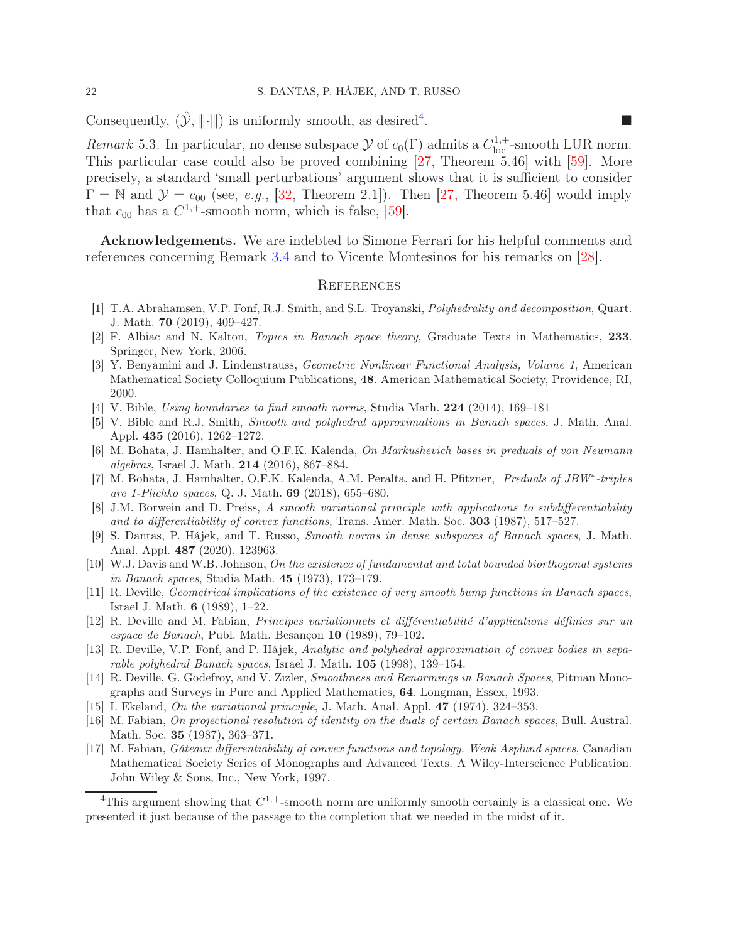Consequently,  $(\hat{y}, \|\cdot\|)$  is uniformly smooth, as desired<sup>[4](#page-21-15)</sup>. .

Remark 5.3. In particular, no dense subspace  $\mathcal Y$  of  $c_0(\Gamma)$  admits a  $C_{\text{loc}}^{1,+}$ -smooth LUR norm. This particular case could also be proved combining [\[27,](#page-22-0) Theorem 5.46] with [\[59\]](#page-23-9). More precisely, a standard 'small perturbations' argument shows that it is sufficient to consider  $\Gamma = \mathbb{N}$  and  $\mathcal{Y} = c_{00}$  (see, e.g., [32, Theorem 2.1]). Then [\[27,](#page-22-0) Theorem 5.46] would imply that  $c_{00}$  has a  $C^{1,+}$ -smooth norm, which is false, [\[59\]](#page-23-9).

Acknowledgements. We are indebted to Simone Ferrari for his helpful comments and references concerning Remark [3.4](#page-16-3) and to Vicente Montesinos for his remarks on [\[28\]](#page-22-14).

#### <span id="page-21-0"></span>**REFERENCES**

- <span id="page-21-12"></span>[1] T.A. Abrahamsen, V.P. Fonf, R.J. Smith, and S.L. Troyanski, Polyhedrality and decomposition, Quart. J. Math. 70 (2019), 409–427.
- <span id="page-21-14"></span>[2] F. Albiac and N. Kalton, Topics in Banach space theory, Graduate Texts in Mathematics, 233. Springer, New York, 2006.
- <span id="page-21-6"></span>[3] Y. Benyamini and J. Lindenstrauss, Geometric Nonlinear Functional Analysis, Volume 1, American Mathematical Society Colloquium Publications, 48. American Mathematical Society, Providence, RI, 2000.
- <span id="page-21-13"></span>[4] V. Bible, Using boundaries to find smooth norms, Studia Math. 224 (2014), 169–181
- [5] V. Bible and R.J. Smith, Smooth and polyhedral approximations in Banach spaces, J. Math. Anal. Appl. 435 (2016), 1262–1272.
- <span id="page-21-9"></span>[6] M. Bohata, J. Hamhalter, and O.F.K. Kalenda, On Markushevich bases in preduals of von Neumann algebras, Israel J. Math. 214 (2016), 867–884.
- <span id="page-21-10"></span>[7] M. Bohata, J. Hamhalter, O.F.K. Kalenda, A.M. Peralta, and H. Pfitzner, Preduals of JBW<sup>\*</sup>-triples are 1-Plichko spaces, Q. J. Math. 69 (2018), 655–680.
- <span id="page-21-4"></span>[8] J.M. Borwein and D. Preiss, A smooth variational principle with applications to subdifferentiability and to differentiability of convex functions, Trans. Amer. Math. Soc. 303 (1987), 517–527.
- <span id="page-21-8"></span>[9] S. Dantas, P. Hájek, and T. Russo, Smooth norms in dense subspaces of Banach spaces, J. Math. Anal. Appl. 487 (2020), 123963.
- <span id="page-21-11"></span>[10] W.J. Davis and W.B. Johnson, On the existence of fundamental and total bounded biorthogonal systems in Banach spaces, Studia Math. 45 (1973), 173–179.
- [11] R. Deville, Geometrical implications of the existence of very smooth bump functions in Banach spaces, Israel J. Math. 6 (1989), 1–22.
- <span id="page-21-5"></span>[12] R. Deville and M. Fabian, Principes variationnels et différentiabilité d'applications définies sur un espace de Banach, Publ. Math. Besançon 10 (1989), 79–102.
- <span id="page-21-7"></span>[13] R. Deville, V.P. Fonf, and P. Hájek, Analytic and polyhedral approximation of convex bodies in separable polyhedral Banach spaces, Israel J. Math. 105 (1998), 139–154.
- <span id="page-21-1"></span>[14] R. Deville, G. Godefroy, and V. Zizler, Smoothness and Renormings in Banach Spaces, Pitman Monographs and Surveys in Pure and Applied Mathematics, 64. Longman, Essex, 1993.
- <span id="page-21-3"></span><span id="page-21-2"></span>[15] I. Ekeland, On the variational principle, J. Math. Anal. Appl. 47 (1974), 324–353.
- [16] M. Fabian, On projectional resolution of identity on the duals of certain Banach spaces, Bull. Austral. Math. Soc. 35 (1987), 363–371.
- [17] M. Fabian, Gâteaux differentiability of convex functions and topology. Weak Asplund spaces, Canadian Mathematical Society Series of Monographs and Advanced Texts. A Wiley-Interscience Publication. John Wiley & Sons, Inc., New York, 1997.

<span id="page-21-15"></span><sup>&</sup>lt;sup>4</sup>This argument showing that  $C^{1,+}$ -smooth norm are uniformly smooth certainly is a classical one. We presented it just because of the passage to the completion that we needed in the midst of it.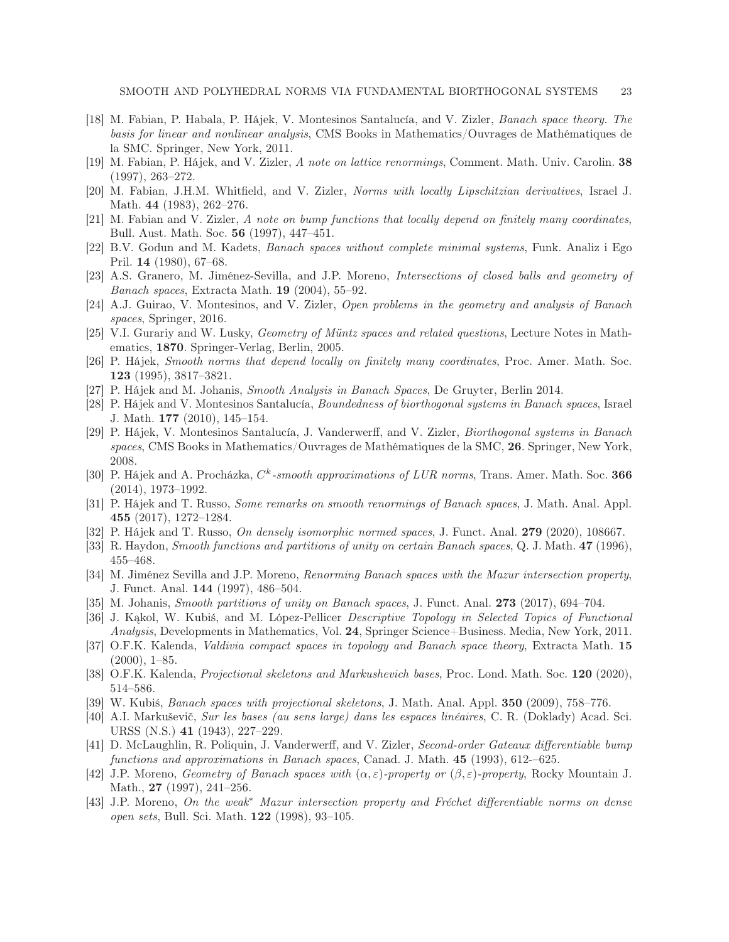- <span id="page-22-12"></span>[18] M. Fabian, P. Habala, P. Hájek, V. Montesinos Santalucía, and V. Zizler, Banach space theory. The basis for linear and nonlinear analysis, CMS Books in Mathematics/Ouvrages de Mathématiques de la SMC. Springer, New York, 2011.
- [19] M. Fabian, P. Hájek, and V. Zizler, A note on lattice renormings, Comment. Math. Univ. Carolin. 38 (1997), 263–272.
- <span id="page-22-2"></span><span id="page-22-1"></span>[20] M. Fabian, J.H.M. Whitfield, and V. Zizler, Norms with locally Lipschitzian derivatives, Israel J. Math. 44 (1983), 262–276.
- <span id="page-22-11"></span>[21] M. Fabian and V. Zizler, A note on bump functions that locally depend on finitely many coordinates, Bull. Aust. Math. Soc. 56 (1997), 447–451.
- [22] B.V. Godun and M. Kadets, Banach spaces without complete minimal systems, Funk. Analiz i Ego Pril. 14 (1980), 67–68.
- <span id="page-22-16"></span>[23] A.S. Granero, M. Jiménez-Sevilla, and J.P. Moreno, Intersections of closed balls and geometry of *Banach spaces,* Extracta Math. **19** (2004), 55–92.
- <span id="page-22-13"></span><span id="page-22-3"></span>[24] A.J. Guirao, V. Montesinos, and V. Zizler, Open problems in the geometry and analysis of Banach spaces, Springer, 2016.
- [25] V.I. Gurariy and W. Lusky, Geometry of Müntz spaces and related questions, Lecture Notes in Mathematics, 1870. Springer-Verlag, Berlin, 2005.
- [26] P. Hájek, Smooth norms that depend locally on finitely many coordinates, Proc. Amer. Math. Soc. 123 (1995), 3817–3821.
- <span id="page-22-14"></span><span id="page-22-0"></span>[27] P. Hájek and M. Johanis, Smooth Analysis in Banach Spaces, De Gruyter, Berlin 2014.
- [28] P. Hájek and V. Montesinos Santalucía, Boundedness of biorthogonal systems in Banach spaces, Israel J. Math. 177 (2010), 145–154.
- <span id="page-22-8"></span>[29] P. Hájek, V. Montesinos Santalucía, J. Vanderwerff, and V. Zizler, Biorthogonal systems in Banach spaces, CMS Books in Mathematics/Ouvrages de Mathématiques de la SMC, 26. Springer, New York, 2008.
- <span id="page-22-6"></span>[30] P. Hájek and A. Procházka,  $C^k$ -smooth approximations of LUR norms, Trans. Amer. Math. Soc. 366 (2014), 1973–1992.
- [31] P. Hájek and T. Russo, Some remarks on smooth renormings of Banach spaces, J. Math. Anal. Appl. 455 (2017), 1272–1284.
- <span id="page-22-5"></span>[32] P. Hájek and T. Russo, On densely isomorphic normed spaces, J. Funct. Anal. 279 (2020), 108667.
- <span id="page-22-15"></span>[33] R. Haydon, Smooth functions and partitions of unity on certain Banach spaces, Q. J. Math. 47 (1996), 455–468.
- [34] M. Jiménez Sevilla and J.P. Moreno, Renorming Banach spaces with the Mazur intersection property, J. Funct. Anal. 144 (1997), 486–504.
- <span id="page-22-9"></span><span id="page-22-4"></span>[35] M. Johanis, Smooth partitions of unity on Banach spaces, J. Funct. Anal. 273 (2017), 694–704.
- [36] J. Kakol, W. Kubiś, and M. López-Pellicer *Descriptive Topology in Selected Topics of Functional* Analysis, Developments in Mathematics, Vol. 24, Springer Science+Business. Media, New York, 2011.
- [37] O.F.K. Kalenda, *Valdivia compact spaces in topology and Banach space theory*, Extracta Math. 15 (2000), 1–85.
- <span id="page-22-10"></span>[38] O.F.K. Kalenda, Projectional skeletons and Markushevich bases, Proc. Lond. Math. Soc. 120 (2020), 514–586.
- <span id="page-22-7"></span>[39] W. Kubiś, Banach spaces with projectional skeletons, J. Math. Anal. Appl. 350 (2009), 758–776.
- [40] A.I. Markuševič, Sur les bases (au sens large) dans les espaces linéaires, C. R. (Doklady) Acad. Sci. URSS (N.S.) 41 (1943), 227–229.
- <span id="page-22-17"></span>[41] D. McLaughlin, R. Poliquin, J. Vanderwerff, and V. Zizler, Second-order Gateaux differentiable bump functions and approximations in Banach spaces, Canad. J. Math. 45 (1993), 612-–625.
- [42] J.P. Moreno, Geometry of Banach spaces with  $(\alpha, \varepsilon)$ -property or  $(\beta, \varepsilon)$ -property, Rocky Mountain J. Math., **27** (1997), 241–256.
- [43] J.P. Moreno, On the weak<sup>∗</sup> Mazur intersection property and Fréchet differentiable norms on dense open sets, Bull. Sci. Math. 122 (1998), 93–105.